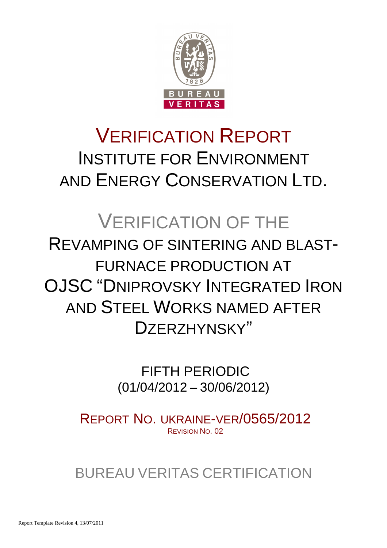

# VERIFICATION REPORT INSTITUTE FOR ENVIRONMENT AND ENERGY CONSERVATION LTD.

## VERIFICATION OF THE REVAMPING OF SINTERING AND BLAST-FURNACE PRODUCTION AT OJSC "DNIPROVSKY INTEGRATED IRON AND STEEL WORKS NAMED AFTER DZERZHYNSKY"

 FIFTH PERIODIC (01/04/2012 – 30/06/2012)

REPORT NO. UKRAINE-VER/0565/2012 REVISION NO. 02

BUREAU VERITAS CERTIFICATION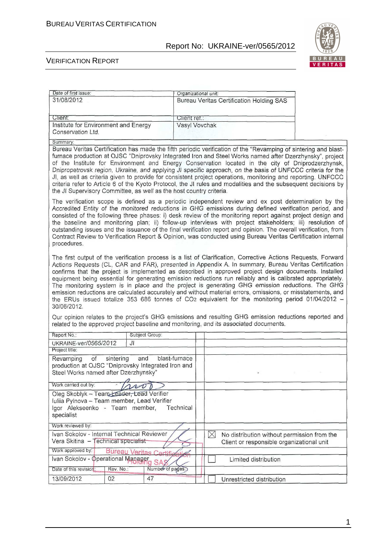

٦

#### VERIFICATION REPORT

Date of first issue:

| 31/08/2012                                                                                                                                                                                                                                                                                                                                                                                                                                                                                                                                                                                                                                                                                                                                                                          |                         |               |             | <b>Bureau Veritas Certification Holding SAS</b>                                                                                                                                                                                                                                                                                                                                                                                                                                                                                                                                                                                                                                  |  |  |
|-------------------------------------------------------------------------------------------------------------------------------------------------------------------------------------------------------------------------------------------------------------------------------------------------------------------------------------------------------------------------------------------------------------------------------------------------------------------------------------------------------------------------------------------------------------------------------------------------------------------------------------------------------------------------------------------------------------------------------------------------------------------------------------|-------------------------|---------------|-------------|----------------------------------------------------------------------------------------------------------------------------------------------------------------------------------------------------------------------------------------------------------------------------------------------------------------------------------------------------------------------------------------------------------------------------------------------------------------------------------------------------------------------------------------------------------------------------------------------------------------------------------------------------------------------------------|--|--|
| Client:                                                                                                                                                                                                                                                                                                                                                                                                                                                                                                                                                                                                                                                                                                                                                                             |                         | Client ret.:  |             |                                                                                                                                                                                                                                                                                                                                                                                                                                                                                                                                                                                                                                                                                  |  |  |
| Institute for Environment and Energy<br>Conservation Ltd.                                                                                                                                                                                                                                                                                                                                                                                                                                                                                                                                                                                                                                                                                                                           |                         | Vasyl Vovchak |             |                                                                                                                                                                                                                                                                                                                                                                                                                                                                                                                                                                                                                                                                                  |  |  |
| Summary:                                                                                                                                                                                                                                                                                                                                                                                                                                                                                                                                                                                                                                                                                                                                                                            |                         |               |             |                                                                                                                                                                                                                                                                                                                                                                                                                                                                                                                                                                                                                                                                                  |  |  |
| the JI Supervisory Committee, as well as the host country criteria.                                                                                                                                                                                                                                                                                                                                                                                                                                                                                                                                                                                                                                                                                                                 |                         |               |             | Bureau Veritas Certification has made the fifth periodic verification of the "Revamping of sintering and blast-<br>furnace production at OJSC "Dniprovsky Integrated Iron and Steel Works named after Dzerzhynsky", project<br>of the Institute for Environment and Energy Conservation located in the city of Dniprodzerzhynsk,<br>Dnipropetrovsk region, Ukraine, and applying JI specific approach, on the basis of UNFCCC criteria for the<br>JI, as well as criteria given to provide for consistent project operations, monitoring and reporting. UNFCCC<br>criteria refer to Article 6 of the Kyoto Protocol, the JI rules and modalities and the subsequent decisions by |  |  |
| Accredited Entity of the monitored reductions in GHG emissions during defined verification period, and<br>consisted of the following three phases: i) desk review of the monitoring report against project design and<br>procedures.                                                                                                                                                                                                                                                                                                                                                                                                                                                                                                                                                |                         |               |             | The verification scope is defined as a periodic independent review and ex post determination by the<br>the baseline and monitoring plan; ii) follow-up interviews with project stakeholders; iii) resolution of<br>outstanding issues and the issuance of the final verification report and opinion. The overall verification, from<br>Contract Review to Verification Report & Opinion, was conducted using Bureau Veritas Certification internal                                                                                                                                                                                                                               |  |  |
| The first output of the verification process is a list of Clarification, Corrective Actions Requests, Forward<br>Actions Requests (CL, CAR and FAR), presented in Appendix A. In summary, Bureau Veritas Certification<br>confirms that the project is implemented as described in approved project design documents. Installed<br>equipment being essential for generating emission reductions run reliably and is calibrated appropriately.<br>The monitoring system is in place and the project is generating GHG emission reductions. The GHG<br>emission reductions are calculated accurately and without material errors, omissions, or misstatements, and<br>the ERUs issued totalize 353 686 tonnes of CO2 equivalent for the monitoring period 01/04/2012 -<br>30/06/2012. |                         |               |             |                                                                                                                                                                                                                                                                                                                                                                                                                                                                                                                                                                                                                                                                                  |  |  |
| related to the approved project baseline and monitoring, and its associated documents.                                                                                                                                                                                                                                                                                                                                                                                                                                                                                                                                                                                                                                                                                              |                         |               |             | Our opinion relates to the project's GHG emissions and resulting GHG emission reductions reported and                                                                                                                                                                                                                                                                                                                                                                                                                                                                                                                                                                            |  |  |
| Report No.:                                                                                                                                                                                                                                                                                                                                                                                                                                                                                                                                                                                                                                                                                                                                                                         | Subject Group:          |               |             |                                                                                                                                                                                                                                                                                                                                                                                                                                                                                                                                                                                                                                                                                  |  |  |
| UKRAINE-ver/0565/2012                                                                                                                                                                                                                                                                                                                                                                                                                                                                                                                                                                                                                                                                                                                                                               | Jl                      |               |             |                                                                                                                                                                                                                                                                                                                                                                                                                                                                                                                                                                                                                                                                                  |  |  |
| Project title:                                                                                                                                                                                                                                                                                                                                                                                                                                                                                                                                                                                                                                                                                                                                                                      |                         |               |             |                                                                                                                                                                                                                                                                                                                                                                                                                                                                                                                                                                                                                                                                                  |  |  |
| Revamping<br>of<br>sintering<br>production at OJSC "Dniprovsky Integrated Iron and<br>Steel Works named after Dzerzhynsky"                                                                                                                                                                                                                                                                                                                                                                                                                                                                                                                                                                                                                                                          | and                     | blast-furnace |             |                                                                                                                                                                                                                                                                                                                                                                                                                                                                                                                                                                                                                                                                                  |  |  |
| Work carried out by:                                                                                                                                                                                                                                                                                                                                                                                                                                                                                                                                                                                                                                                                                                                                                                |                         |               |             |                                                                                                                                                                                                                                                                                                                                                                                                                                                                                                                                                                                                                                                                                  |  |  |
| Oleg Skoblyk - Team Leader, Lead Verifier<br>Iuliia Pylnova - Team member, Lead Verifier<br>Igor Alekseenko - Team member,<br>specialist                                                                                                                                                                                                                                                                                                                                                                                                                                                                                                                                                                                                                                            |                         | Technical     |             |                                                                                                                                                                                                                                                                                                                                                                                                                                                                                                                                                                                                                                                                                  |  |  |
| Work reviewed by:                                                                                                                                                                                                                                                                                                                                                                                                                                                                                                                                                                                                                                                                                                                                                                   |                         |               |             |                                                                                                                                                                                                                                                                                                                                                                                                                                                                                                                                                                                                                                                                                  |  |  |
| Ivan Sokolov - Internal Technical Reviewer<br>Vera Skitina - Technical specialist                                                                                                                                                                                                                                                                                                                                                                                                                                                                                                                                                                                                                                                                                                   |                         |               | $\boxtimes$ | No distribution without permission from the<br>Client or responsible organizational unit                                                                                                                                                                                                                                                                                                                                                                                                                                                                                                                                                                                         |  |  |
| Work approved by:                                                                                                                                                                                                                                                                                                                                                                                                                                                                                                                                                                                                                                                                                                                                                                   | Bureau Veritas Certific |               |             |                                                                                                                                                                                                                                                                                                                                                                                                                                                                                                                                                                                                                                                                                  |  |  |
| Ivan Sokolov - Operational Manager <sub>g</sub> SAS                                                                                                                                                                                                                                                                                                                                                                                                                                                                                                                                                                                                                                                                                                                                 |                         |               |             | Limited distribution                                                                                                                                                                                                                                                                                                                                                                                                                                                                                                                                                                                                                                                             |  |  |
| Date of this revision:<br>Rev. No.:                                                                                                                                                                                                                                                                                                                                                                                                                                                                                                                                                                                                                                                                                                                                                 | Number of pages.)       |               |             |                                                                                                                                                                                                                                                                                                                                                                                                                                                                                                                                                                                                                                                                                  |  |  |
| 13/09/2012<br>02                                                                                                                                                                                                                                                                                                                                                                                                                                                                                                                                                                                                                                                                                                                                                                    | 47                      |               |             | Unrestricted distribution                                                                                                                                                                                                                                                                                                                                                                                                                                                                                                                                                                                                                                                        |  |  |

Organizational unit: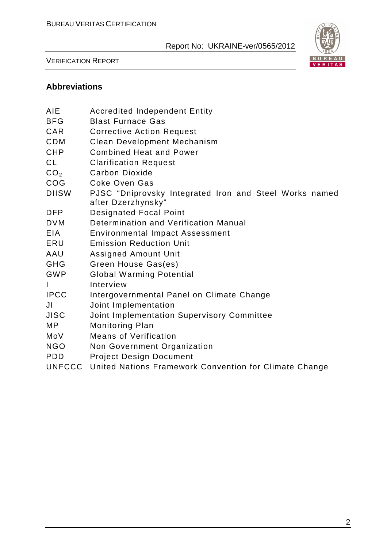

VERIFICATION REPORT

## **Abbreviations**

| AIE             | <b>Accredited Independent Entity</b>                                         |
|-----------------|------------------------------------------------------------------------------|
| <b>BFG</b>      | <b>Blast Furnace Gas</b>                                                     |
| <b>CAR</b>      | <b>Corrective Action Request</b>                                             |
| <b>CDM</b>      | <b>Clean Development Mechanism</b>                                           |
| <b>CHP</b>      | <b>Combined Heat and Power</b>                                               |
| <b>CL</b>       | <b>Clarification Request</b>                                                 |
| CO <sub>2</sub> | Carbon Dioxide                                                               |
| COG             | Coke Oven Gas                                                                |
| <b>DIISW</b>    | PJSC "Dniprovsky Integrated Iron and Steel Works named<br>after Dzerzhynsky" |
| <b>DFP</b>      | <b>Designated Focal Point</b>                                                |
| <b>DVM</b>      | Determination and Verification Manual                                        |
| <b>EIA</b>      | <b>Environmental Impact Assessment</b>                                       |
| ERU             | <b>Emission Reduction Unit</b>                                               |
| AAU             | <b>Assigned Amount Unit</b>                                                  |
| <b>GHG</b>      | Green House Gas(es)                                                          |
| <b>GWP</b>      | <b>Global Warming Potential</b>                                              |
| I               | Interview                                                                    |
| <b>IPCC</b>     | Intergovernmental Panel on Climate Change                                    |
| JI              | Joint Implementation                                                         |
| <b>JISC</b>     | Joint Implementation Supervisory Committee                                   |
| <b>MP</b>       | <b>Monitoring Plan</b>                                                       |
| MoV             | <b>Means of Verification</b>                                                 |
| <b>NGO</b>      | Non Government Organization                                                  |
| <b>PDD</b>      | <b>Project Design Document</b>                                               |
| <b>UNFCCC</b>   | United Nations Framework Convention for Climate Change                       |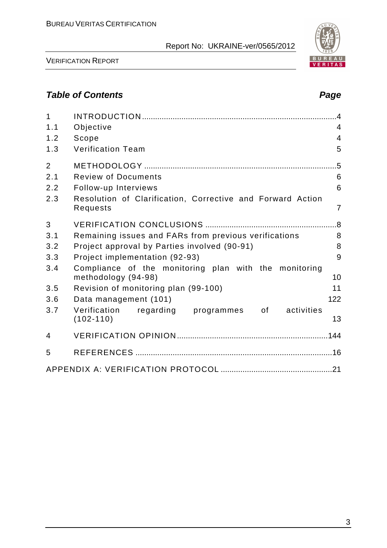VERIFICATION REPORT

## **Table of Contents Page 2018**

| $\mathbf{1}$<br>1.1<br>1.2<br>1.3   | Objective<br>Scope<br><b>Verification Team</b>                                                                                          | $\overline{4}$<br>4<br>$\overline{4}$<br>5 |
|-------------------------------------|-----------------------------------------------------------------------------------------------------------------------------------------|--------------------------------------------|
| $\overline{2}$<br>2.1<br>2.2<br>2.3 | <b>Review of Documents</b><br>Follow-up Interviews<br>Resolution of Clarification, Corrective and Forward Action<br>Requests            | 5<br>6<br>6<br>$\overline{7}$              |
| 3<br>3.1<br>3.2<br>3.3              | Remaining issues and FARs from previous verifications<br>Project approval by Parties involved (90-91)<br>Project implementation (92-93) | 8<br>8<br>9                                |
| 3.4                                 | Compliance of the monitoring plan with the monitoring<br>methodology (94-98)                                                            | 10                                         |
| 3.5                                 | Revision of monitoring plan (99-100)                                                                                                    | 11                                         |
| 3.6                                 | Data management (101)                                                                                                                   | 122                                        |
| 3.7                                 | Verification<br>regarding programmes<br>activities<br>of the control<br>$(102 - 110)$                                                   | 13                                         |
| 4                                   |                                                                                                                                         |                                            |
| 5                                   |                                                                                                                                         |                                            |
|                                     |                                                                                                                                         |                                            |

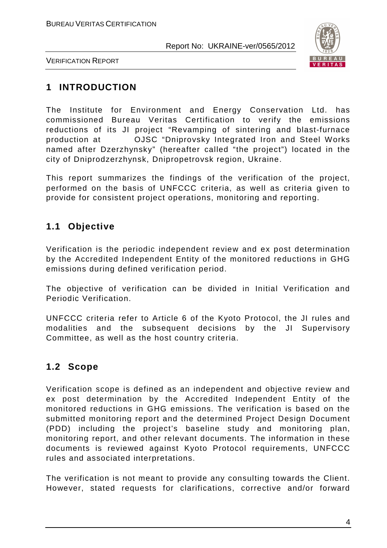

VERIFICATION REPORT

## **1 INTRODUCTION**

The Institute for Environment and Energy Conservation Ltd. has commissioned Bureau Veritas Certification to verify the emissions reductions of its JI project "Revamping of sintering and blast-furnace production at OJSC "Dniprovsky Integrated Iron and Steel Works named after Dzerzhynsky" (hereafter called "the project") located in the city of Dniprodzerzhynsk, Dnipropetrovsk region, Ukraine.

This report summarizes the findings of the verification of the project, performed on the basis of UNFCCC criteria, as well as criteria given to provide for consistent project operations, monitoring and reporting.

## **1.1 Objective**

Verification is the periodic independent review and ex post determination by the Accredited Independent Entity of the monitored reductions in GHG emissions during defined verification period.

The objective of verification can be divided in Initial Verification and Periodic Verification.

UNFCCC criteria refer to Article 6 of the Kyoto Protocol, the JI rules and modalities and the subsequent decisions by the JI Supervisory Committee, as well as the host country criteria.

## **1.2 Scope**

Verification scope is defined as an independent and objective review and ex post determination by the Accredited Independent Entity of the monitored reductions in GHG emissions. The verification is based on the submitted monitoring report and the determined Project Design Document (PDD) including the project's baseline study and monitoring plan, monitoring report, and other relevant documents. The information in these documents is reviewed against Kyoto Protocol requirements, UNFCCC rules and associated interpretations.

The verification is not meant to provide any consulting towards the Client. However, stated requests for clarifications, corrective and/or forward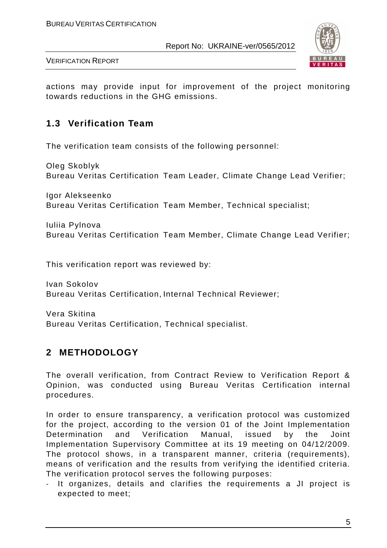

VERIFICATION REPORT

actions may provide input for improvement of the project monitoring towards reductions in the GHG emissions.

## **1.3 Verification Team**

The verification team consists of the following personnel:

Oleg Skoblyk Bureau Veritas Certification Team Leader, Climate Change Lead Verifier;

Igor Alekseenko Bureau Veritas Certification Team Member, Technical specialist;

Iuliia Pylnova Bureau Veritas Certification Team Member, Climate Change Lead Verifier;

This verification report was reviewed by:

Ivan Sokolov Bureau Veritas Certification, Internal Technical Reviewer;

Vera Skitina Bureau Veritas Certification, Technical specialist.

## **2 METHODOLOGY**

The overall verification, from Contract Review to Verification Report & Opinion, was conducted using Bureau Veritas Certification internal procedures.

In order to ensure transparency, a verification protocol was customized for the project, according to the version 01 of the Joint Implementation Determination and Verification Manual, issued by the Joint Implementation Supervisory Committee at its 19 meeting on 04/12/2009. The protocol shows, in a transparent manner, criteria (requirements), means of verification and the results from verifying the identified criteria. The verification protocol serves the following purposes:

- It organizes, details and clarifies the requirements a JI project is expected to meet;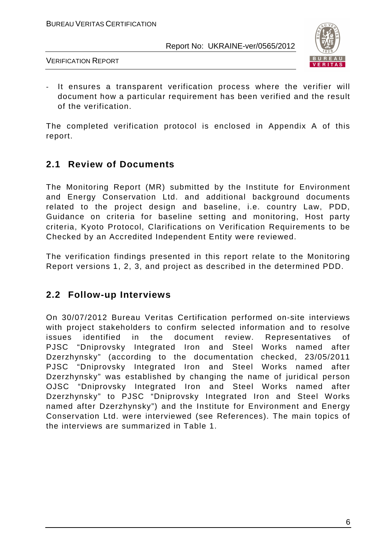

VERIFICATION REPORT

- It ensures a transparent verification process where the verifier will document how a particular requirement has been verified and the result of the verification.

The completed verification protocol is enclosed in Appendix A of this report.

## **2.1 Review of Documents**

The Monitoring Report (MR) submitted by the Institute for Environment and Energy Conservation Ltd. and additional background documents related to the project design and baseline, i.e. country Law, PDD, Guidance on criteria for baseline setting and monitoring, Host party criteria, Kyoto Protocol, Clarifications on Verification Requirements to be Checked by an Accredited Independent Entity were reviewed.

The verification findings presented in this report relate to the Monitoring Report versions 1, 2, 3, and project as described in the determined PDD.

## **2.2 Follow-up Interviews**

On 30/07/2012 Bureau Veritas Certification performed on-site interviews with project stakeholders to confirm selected information and to resolve issues identified in the document review. Representatives of PJSC "Dniprovsky Integrated Iron and Steel Works named after Dzerzhynsky" (according to the documentation checked, 23/05/2011 PJSC "Dniprovsky Integrated Iron and Steel Works named after Dzerzhynsky" was established by changing the name of juridical person OJSC "Dniprovsky Integrated Iron and Steel Works named after Dzerzhynsky" to PJSC "Dniprovsky Integrated Iron and Steel Works named after Dzerzhynsky") and the Institute for Environment and Energy Conservation Ltd. were interviewed (see References). The main topics of the interviews are summarized in Table 1.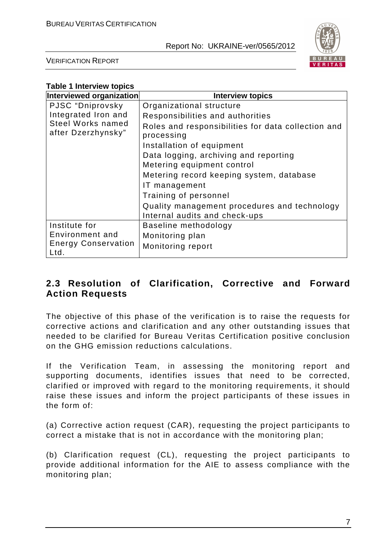

VERIFICATION REPORT

| <b>Table 1 Interview topics</b>         |                                                                  |  |  |  |  |  |  |
|-----------------------------------------|------------------------------------------------------------------|--|--|--|--|--|--|
| Interviewed organization                | <b>Interview topics</b>                                          |  |  |  |  |  |  |
| PJSC "Dniprovsky                        | Organizational structure                                         |  |  |  |  |  |  |
| Integrated Iron and                     | Responsibilities and authorities                                 |  |  |  |  |  |  |
| Steel Works named<br>after Dzerzhynsky" | Roles and responsibilities for data collection and<br>processing |  |  |  |  |  |  |
|                                         | Installation of equipment                                        |  |  |  |  |  |  |
|                                         | Data logging, archiving and reporting                            |  |  |  |  |  |  |
|                                         | Metering equipment control                                       |  |  |  |  |  |  |
|                                         | Metering record keeping system, database                         |  |  |  |  |  |  |
|                                         | IT management                                                    |  |  |  |  |  |  |
|                                         | Training of personnel                                            |  |  |  |  |  |  |
|                                         | Quality management procedures and technology                     |  |  |  |  |  |  |
|                                         | Internal audits and check-ups                                    |  |  |  |  |  |  |
| Institute for                           | Baseline methodology                                             |  |  |  |  |  |  |
| Environment and                         | Monitoring plan                                                  |  |  |  |  |  |  |
| <b>Energy Conservation</b><br>Ltd.      | Monitoring report                                                |  |  |  |  |  |  |

## **2.3 Resolution of Clarification, Corrective and Forward Action Requests**

The objective of this phase of the verification is to raise the requests for corrective actions and clarification and any other outstanding issues that needed to be clarified for Bureau Veritas Certification positive conclusion on the GHG emission reductions calculations.

If the Verification Team, in assessing the monitoring report and supporting documents, identifies issues that need to be corrected, clarified or improved with regard to the monitoring requirements, it should raise these issues and inform the project participants of these issues in the form of:

(a) Corrective action request (CAR), requesting the project participants to correct a mistake that is not in accordance with the monitoring plan;

(b) Clarification request (CL), requesting the project participants to provide additional information for the AIE to assess compliance with the monitoring plan;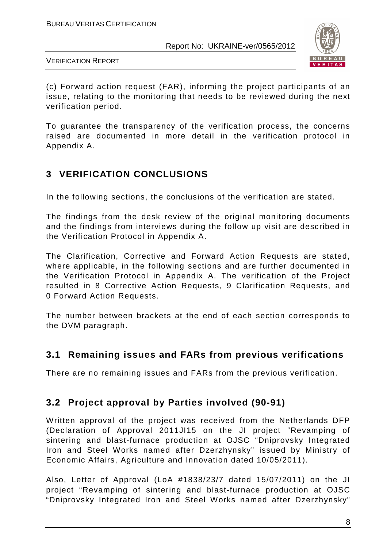

VERIFICATION REPORT

(c) Forward action request (FAR), informing the project participants of an issue, relating to the monitoring that needs to be reviewed during the next verification period.

To guarantee the transparency of the verification process, the concerns raised are documented in more detail in the verification protocol in Appendix A.

## **3 VERIFICATION CONCLUSIONS**

In the following sections, the conclusions of the verification are stated.

The findings from the desk review of the original monitoring documents and the findings from interviews during the follow up visit are described in the Verification Protocol in Appendix A.

The Clarification, Corrective and Forward Action Requests are stated, where applicable, in the following sections and are further documented in the Verification Protocol in Appendix A. The verification of the Project resulted in 8 Corrective Action Requests, 9 Clarification Requests, and 0 Forward Action Requests.

The number between brackets at the end of each section corresponds to the DVM paragraph.

## **3.1 Remaining issues and FARs from previous verifications**

There are no remaining issues and FARs from the previous verification.

## **3.2 Project approval by Parties involved (90-91)**

Written approval of the project was received from the Netherlands DFP (Declaration of Approval 2011JI15 on the JI project "Revamping of sintering and blast-furnace production at OJSC "Dniprovsky Integrated Iron and Steel Works named after Dzerzhynsky" issued by Ministry of Economic Affairs, Agriculture and Innovation dated 10/05/2011).

Also, Letter of Approval (LoA #1838/23/7 dated 15/07/2011) on the JI project "Revamping of sintering and blast-furnace production at OJSC "Dniprovsky Integrated Iron and Steel Works named after Dzerzhynsky"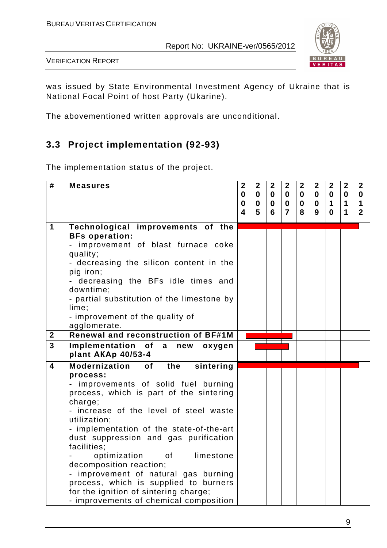

VERIFICATION REPORT

was issued by State Environmental Investment Agency of Ukraine that is National Focal Point of host Party (Ukarine).

The abovementioned written approvals are unconditional.

## **3.3 Project implementation (92-93)**

The implementation status of the project.

| #                       | <b>Measures</b>                                                                 | $\mathbf{2}$                | $\boldsymbol{2}$           | $\mathbf{2}$             | $\mathbf{2}$            | $\mathbf{2}$                | $\overline{2}$              | $\mathbf{2}$               | $\boldsymbol{2}$        | $\overline{2}$ |
|-------------------------|---------------------------------------------------------------------------------|-----------------------------|----------------------------|--------------------------|-------------------------|-----------------------------|-----------------------------|----------------------------|-------------------------|----------------|
|                         |                                                                                 | $\mathbf{0}$<br>$\mathbf 0$ | $\mathbf 0$<br>$\mathbf 0$ | $\bf{0}$<br>$\mathbf{0}$ | $\mathbf 0$<br>$\bf{0}$ | $\mathbf{0}$<br>$\mathbf 0$ | $\mathbf{0}$<br>$\mathbf 0$ | $\mathbf 0$<br>$\mathbf 1$ | $\bf{0}$<br>$\mathbf 1$ | 0<br>1         |
|                         |                                                                                 | 4                           | 5                          | 6                        | $\overline{7}$          | 8                           | 9                           | $\mathbf{0}$               | $\mathbf 1$             | $\mathbf{2}$   |
| 1                       | Technological improvements of the                                               |                             |                            |                          |                         |                             |                             |                            |                         |                |
|                         | <b>BFs operation:</b>                                                           |                             |                            |                          |                         |                             |                             |                            |                         |                |
|                         | - improvement of blast furnace coke<br>quality;                                 |                             |                            |                          |                         |                             |                             |                            |                         |                |
|                         | - decreasing the silicon content in the                                         |                             |                            |                          |                         |                             |                             |                            |                         |                |
|                         | pig iron;                                                                       |                             |                            |                          |                         |                             |                             |                            |                         |                |
|                         | - decreasing the BFs idle times and                                             |                             |                            |                          |                         |                             |                             |                            |                         |                |
|                         | downtime;                                                                       |                             |                            |                          |                         |                             |                             |                            |                         |                |
|                         | - partial substitution of the limestone by<br>lime;                             |                             |                            |                          |                         |                             |                             |                            |                         |                |
|                         | - improvement of the quality of                                                 |                             |                            |                          |                         |                             |                             |                            |                         |                |
|                         | agglomerate.                                                                    |                             |                            |                          |                         |                             |                             |                            |                         |                |
| $\mathbf{2}$            | Renewal and reconstruction of BF#1M                                             |                             |                            |                          |                         |                             |                             |                            |                         |                |
| $\overline{3}$          | Implementation of a new<br>oxygen                                               |                             |                            |                          |                         |                             |                             |                            |                         |                |
|                         | plant AKAp 40/53-4                                                              |                             |                            |                          |                         |                             |                             |                            |                         |                |
| $\overline{\mathbf{A}}$ | <b>Modernization</b><br>of the<br>sintering                                     |                             |                            |                          |                         |                             |                             |                            |                         |                |
|                         | process:                                                                        |                             |                            |                          |                         |                             |                             |                            |                         |                |
|                         | - improvements of solid fuel burning<br>process, which is part of the sintering |                             |                            |                          |                         |                             |                             |                            |                         |                |
|                         | charge;                                                                         |                             |                            |                          |                         |                             |                             |                            |                         |                |
|                         | - increase of the level of steel waste                                          |                             |                            |                          |                         |                             |                             |                            |                         |                |
|                         | utilization;                                                                    |                             |                            |                          |                         |                             |                             |                            |                         |                |
|                         | - implementation of the state-of-the-art                                        |                             |                            |                          |                         |                             |                             |                            |                         |                |
|                         | dust suppression and gas purification<br>facilities;                            |                             |                            |                          |                         |                             |                             |                            |                         |                |
|                         | optimization<br>0f<br>limestone                                                 |                             |                            |                          |                         |                             |                             |                            |                         |                |
|                         | decomposition reaction;                                                         |                             |                            |                          |                         |                             |                             |                            |                         |                |
|                         | - improvement of natural gas burning                                            |                             |                            |                          |                         |                             |                             |                            |                         |                |
|                         | process, which is supplied to burners                                           |                             |                            |                          |                         |                             |                             |                            |                         |                |
|                         | for the ignition of sintering charge;                                           |                             |                            |                          |                         |                             |                             |                            |                         |                |
|                         | - improvements of chemical composition                                          |                             |                            |                          |                         |                             |                             |                            |                         |                |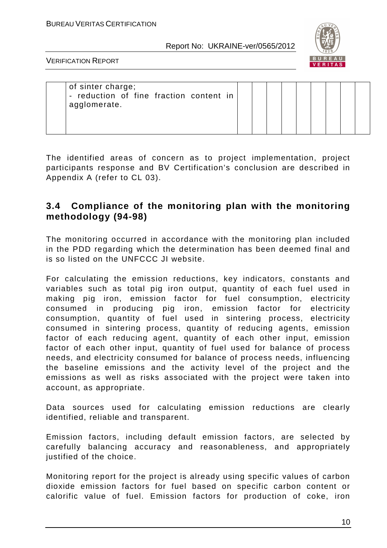

VERIFICATION REPORT

| of sinter charge;<br>- reduction of fine fraction content in |
|--------------------------------------------------------------|
|--------------------------------------------------------------|

The identified areas of concern as to project implementation, project participants response and BV Certification's conclusion are described in Appendix A (refer to CL 03).

## **3.4 Compliance of the monitoring plan with the monitoring methodology (94-98)**

The monitoring occurred in accordance with the monitoring plan included in the PDD regarding which the determination has been deemed final and is so listed on the UNFCCC JI website.

For calculating the emission reductions, key indicators, constants and variables such as total pig iron output, quantity of each fuel used in making pig iron, emission factor for fuel consumption, electricity consumed in producing pig iron, emission factor for electricity consumption, quantity of fuel used in sintering process, electricity consumed in sintering process, quantity of reducing agents, emission factor of each reducing agent, quantity of each other input, emission factor of each other input, quantity of fuel used for balance of process needs, and electricity consumed for balance of process needs, influencing the baseline emissions and the activity level of the project and the emissions as well as risks associated with the project were taken into account, as appropriate.

Data sources used for calculating emission reductions are clearly identified, reliable and transparent.

Emission factors, including default emission factors, are selected by carefully balancing accuracy and reasonableness, and appropriately justified of the choice.

Monitoring report for the project is already using specific values of carbon dioxide emission factors for fuel based on specific carbon content or calorific value of fuel. Emission factors for production of coke, iron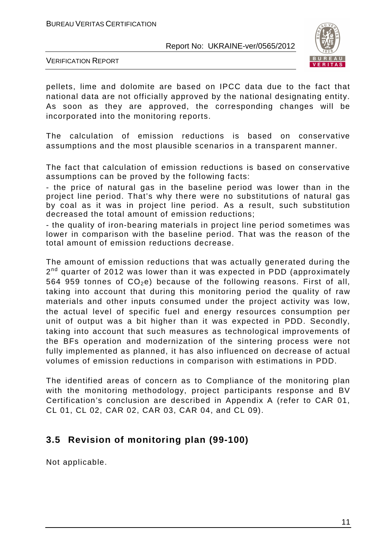

VERIFICATION REPORT

pellets, lime and dolomite are based on IPCC data due to the fact that national data are not officially approved by the national designating entity. As soon as they are approved, the corresponding changes will be incorporated into the monitoring reports.

The calculation of emission reductions is based on conservative assumptions and the most plausible scenarios in a transparent manner.

The fact that calculation of emission reductions is based on conservative assumptions can be proved by the following facts:

- the price of natural gas in the baseline period was lower than in the project line period. That's why there were no substitutions of natural gas by coal as it was in project line period. As a result, such substitution decreased the total amount of emission reductions;

- the quality of iron-bearing materials in project line period sometimes was lower in comparison with the baseline period. That was the reason of the total amount of emission reductions decrease.

The amount of emission reductions that was actually generated during the 2<sup>nd</sup> quarter of 2012 was lower than it was expected in PDD (approximately 564 959 tonnes of  $CO<sub>2</sub>e$ ) because of the following reasons. First of all, taking into account that during this monitoring period the quality of raw materials and other inputs consumed under the project activity was low, the actual level of specific fuel and energy resources consumption per unit of output was a bit higher than it was expected in PDD. Secondly, taking into account that such measures as technological improvements of the BFs operation and modernization of the sintering process were not fully implemented as planned, it has also influenced on decrease of actual volumes of emission reductions in comparison with estimations in PDD.

The identified areas of concern as to Compliance of the monitoring plan with the monitoring methodology, project participants response and BV Certification's conclusion are described in Appendix A (refer to CAR 01, CL 01, CL 02, CAR 02, CAR 03, CAR 04, and CL 09).

## **3.5 Revision of monitoring plan (99-100)**

Not applicable.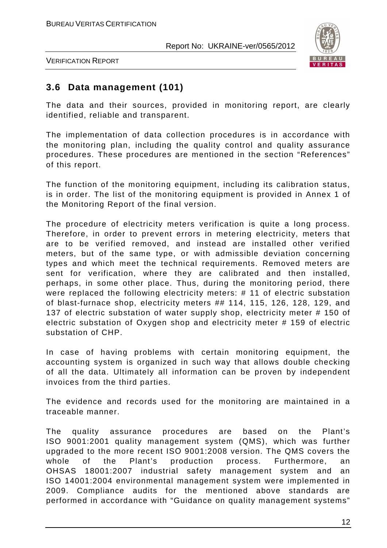

VERIFICATION REPORT

## **3.6 Data management (101)**

The data and their sources, provided in monitoring report, are clearly identified, reliable and transparent.

The implementation of data collection procedures is in accordance with the monitoring plan, including the quality control and quality assurance procedures. These procedures are mentioned in the section "References" of this report.

The function of the monitoring equipment, including its calibration status, is in order. The list of the monitoring equipment is provided in Annex 1 of the Monitoring Report of the final version.

The procedure of electricity meters verification is quite a long process. Therefore, in order to prevent errors in metering electricity, meters that are to be verified removed, and instead are installed other verified meters, but of the same type, or with admissible deviation concerning types and which meet the technical requirements. Removed meters are sent for verification, where they are calibrated and then installed, perhaps, in some other place. Thus, during the monitoring period, there were replaced the following electricity meters: # 11 of electric substation of blast-furnace shop, electricity meters ## 114, 115, 126, 128, 129, and 137 of electric substation of water supply shop, electricity meter # 150 of electric substation of Oxygen shop and electricity meter # 159 of electric substation of CHP.

In case of having problems with certain monitoring equipment, the accounting system is organized in such way that allows double checking of all the data. Ultimately all information can be proven by independent invoices from the third parties.

The evidence and records used for the monitoring are maintained in a traceable manner.

The quality assurance procedures are based on the Plant's ISO 9001:2001 quality management system (QMS), which was further upgraded to the more recent ISО 9001:2008 version. The QMS covers the whole of the Plant's production process. Furthermore, an OHSAS 18001:2007 industrial safety management system and an ISO 14001:2004 environmental management system were implemented in 2009. Compliance audits for the mentioned above standards are performed in accordance with "Guidance on quality management systems"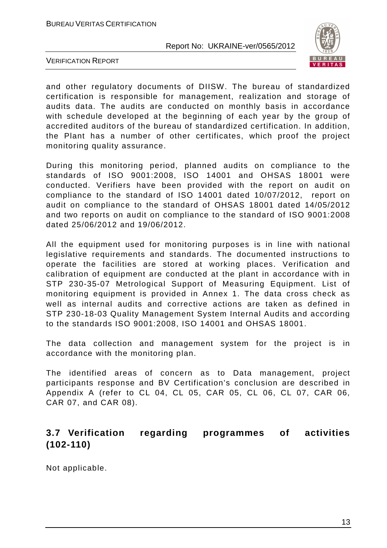

VERIFICATION REPORT

and other regulatory documents of DIISW. The bureau of standardized certification is responsible for management, realization and storage of audits data. The audits are conducted on monthly basis in accordance with schedule developed at the beginning of each year by the group of accredited auditors of the bureau of standardized certification. In addition, the Plant has a number of other certificates, which proof the project monitoring quality assurance.

During this monitoring period, planned audits on compliance to the standards of ISO 9001:2008, ISO 14001 and OHSAS 18001 were conducted. Verifiers have been provided with the report on audit on compliance to the standard of ISO 14001 dated 10/07/2012, report on audit on compliance to the standard of OHSAS 18001 dated 14/05/2012 and two reports on audit on compliance to the standard of ISO 9001:2008 dated 25/06/2012 and 19/06/2012.

All the equipment used for monitoring purposes is in line with national legislative requirements and standards. The documented instructions to operate the facilities are stored at working places. Verification and calibration of equipment are conducted at the plant in accordance with in STP 230-35-07 Metrological Support of Measuring Equipment. List of monitoring equipment is provided in Annex 1. The data cross check as well as internal audits and corrective actions are taken as defined in STP 230-18-03 Quality Management System Internal Audits and according to the standards ISO 9001:2008, ISO 14001 and OHSAS 18001.

The data collection and management system for the project is in accordance with the monitoring plan.

The identified areas of concern as to Data management, project participants response and BV Certification's conclusion are described in Appendix A (refer to CL 04, CL 05, CAR 05, CL 06, CL 07, CAR 06, CAR 07, and CAR 08).

## **3.7 Verification regarding programmes of activities (102-110)**

Not applicable.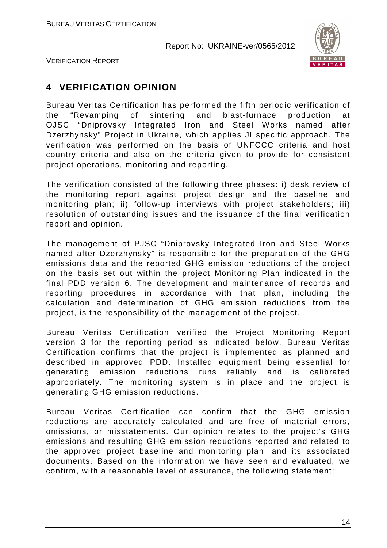

VERIFICATION REPORT

## **4 VERIFICATION OPINION**

Bureau Veritas Certification has performed the fifth periodic verification of the "Revamping of sintering and blast-furnace production at OJSC "Dniprovsky Integrated Iron and Steel Works named after Dzerzhynsky" Project in Ukraine, which applies JI specific approach. The verification was performed on the basis of UNFCCC criteria and host country criteria and also on the criteria given to provide for consistent project operations, monitoring and reporting.

The verification consisted of the following three phases: i) desk review of the monitoring report against project design and the baseline and monitoring plan; ii) follow-up interviews with project stakeholders; iii) resolution of outstanding issues and the issuance of the final verification report and opinion.

The management of PJSC "Dniprovsky Integrated Iron and Steel Works named after Dzerzhynsky" is responsible for the preparation of the GHG emissions data and the reported GHG emission reductions of the project on the basis set out within the project Monitoring Plan indicated in the final PDD version 6. The development and maintenance of records and reporting procedures in accordance with that plan, including the calculation and determination of GHG emission reductions from the project, is the responsibility of the management of the project.

Bureau Veritas Certification verified the Project Monitoring Report version 3 for the reporting period as indicated below. Bureau Veritas Certification confirms that the project is implemented as planned and described in approved PDD. Installed equipment being essential for generating emission reductions runs reliably and is calibrated appropriately. The monitoring system is in place and the project is generating GHG emission reductions.

Bureau Veritas Certification can confirm that the GHG emission reductions are accurately calculated and are free of material errors, omissions, or misstatements. Our opinion relates to the project's GHG emissions and resulting GHG emission reductions reported and related to the approved project baseline and monitoring plan, and its associated documents. Based on the information we have seen and evaluated, we confirm, with a reasonable level of assurance, the following statement: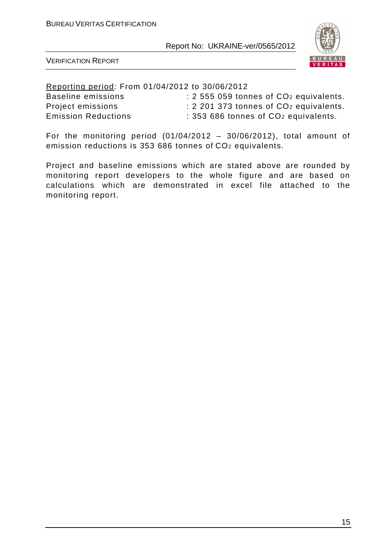

VERIFICATION REPORT

Reporting period: From 01/04/2012 to 30/06/2012 Baseline emissions : 2 555 059 tonnes of CO<sub>2</sub> equivalents. Project emissions : 2 201 373 tonnes of CO<sub>2</sub> equivalents. Emission Reductions : 353 686 tonnes of CO<sub>2</sub> equivalents.

For the monitoring period  $(01/04/2012 - 30/06/2012)$ , total amount of emission reductions is 353 686 tonnes of CO2 equivalents.

Project and baseline emissions which are stated above are rounded by monitoring report developers to the whole figure and are based on calculations which are demonstrated in excel file attached to the monitoring report.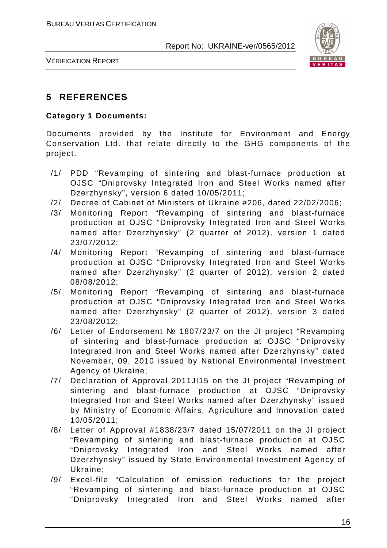

VERIFICATION REPORT

## **5 REFERENCES**

#### **Category 1 Documents:**

Documents provided by the Institute for Environment and Energy Conservation Ltd. that relate directly to the GHG components of the project.

- /1/ PDD "Revamping of sintering and blast-furnace production at OJSC "Dniprovsky Integrated Iron and Steel Works named after Dzerzhynsky", version 6 dated 10/05/2011;
- /2/ Decree of Cabinet of Ministers of Ukraine #206, dated 22/02/2006;
- /3/ Monitoring Report "Revamping of sintering and blast-furnace production at OJSC "Dniprovsky Integrated Iron and Steel Works named after Dzerzhynsky" (2 quarter of 2012), version 1 dated 23/07/2012;
- /4/ Monitoring Report "Revamping of sintering and blast-furnace production at OJSC "Dniprovsky Integrated Iron and Steel Works named after Dzerzhynsky" (2 quarter of 2012), version 2 dated 08/08/2012;
- /5/ Monitoring Report "Revamping of sintering and blast-furnace production at OJSC "Dniprovsky Integrated Iron and Steel Works named after Dzerzhynsky" (2 quarter of 2012), version 3 dated 23/08/2012;
- /6/ Letter of Endorsement № 1807/23/7 on the JI project "Revamping of sintering and blast-furnace production at OJSC "Dniprovsky Integrated Iron and Steel Works named after Dzerzhynsky" dated November, 09, 2010 issued by National Environmental Investment Agency of Ukraine;
- /7/ Declaration of Approval 2011JI15 on the JI project "Revamping of sintering and blast-furnace production at OJSC "Dniprovsky Integrated Iron and Steel Works named after Dzerzhynsky" issued by Ministry of Economic Affairs, Agriculture and Innovation dated 10/05/2011;
- /8/ Letter of Approval #1838/23/7 dated 15/07/2011 on the JI project "Revamping of sintering and blast-furnace production at OJSC "Dniprovsky Integrated Iron and Steel Works named after Dzerzhynsky" issued by State Environmental Investment Agency of Ukraine;
- /9/ Excel-file "Calculation of emission reductions for the project "Revamping of sintering and blast-furnace production at OJSC "Dniprovsky Integrated Iron and Steel Works named after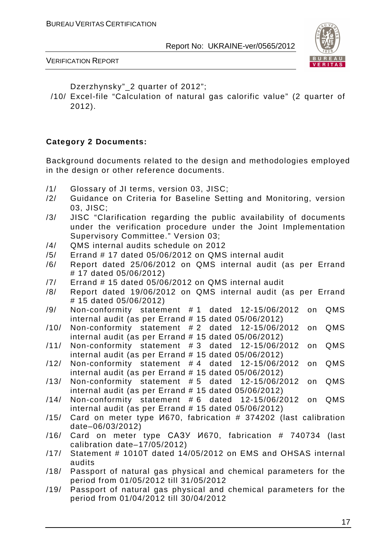

#### VERIFICATION REPORT

Dzerzhynsky"\_2 quarter of 2012";

/10/ Excel-file "Calculation of natural gas calorific value" (2 quarter of 2012).

#### **Category 2 Documents:**

Background documents related to the design and methodologies employed in the design or other reference documents.

- /1/ Glossary of JI terms, version 03, JISC;
- /2/ Guidance on Criteria for Baseline Setting and Monitoring, version 03, JISC;
- /3/ JISC "Clarification regarding the public availability of documents under the verification procedure under the Joint Implementation Supervisory Committee." Version 03;
- /4/ QMS internal audits schedule on 2012
- /5/ Errand # 17 dated 05/06/2012 on QMS internal audit
- /6/ Report dated 25/06/2012 on QMS internal audit (as per Errand # 17 dated 05/06/2012)
- /7/ Errand # 15 dated 05/06/2012 on QMS internal audit
- /8/ Report dated 19/06/2012 on QMS internal audit (as per Errand # 15 dated 05/06/2012)
- /9/ Non-conformity statement # 1 dated 12-15/06/2012 on QMS internal audit (as per Errand # 15 dated 05/06/2012)
- /10/ Non-conformity statement # 2 dated 12-15/06/2012 on QMS internal audit (as per Errand # 15 dated 05/06/2012)
- /11/ Non-conformity statement # 3 dated 12-15/06/2012 on QMS internal audit (as per Errand # 15 dated 05/06/2012)
- /12/ Non-conformity statement # 4 dated 12-15/06/2012 on QMS internal audit (as per Errand # 15 dated 05/06/2012)
- /13/ Non-conformity statement # 5 dated 12-15/06/2012 on QMS internal audit (as per Errand # 15 dated 05/06/2012)
- /14/ Non-conformity statement # 6 dated 12-15/06/2012 on QMS internal audit (as per Errand # 15 dated 05/06/2012)
- /15/ Card on meter type И670, fabrication # 374202 (last calibration date–06/03/2012)
- /16/ Card on meter type САЗУ И670, fabrication # 740734 (last calibration date–17/05/2012)
- /17/ Statement # 1010Т dated 14/05/2012 on EMS and OHSAS internal audits
- /18/ Passport of natural gas physical and chemical parameters for the period from 01/05/2012 till 31/05/2012
- /19/ Passport of natural gas physical and chemical parameters for the period from 01/04/2012 till 30/04/2012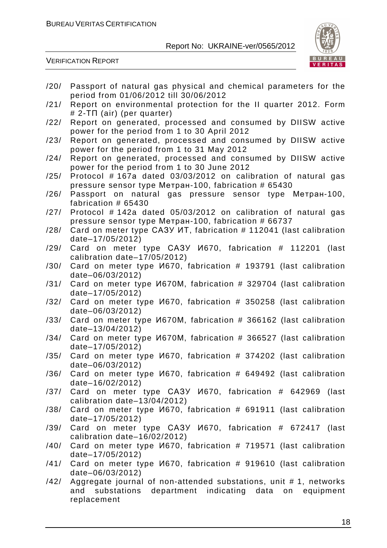

VERIFICATION REPORT

| /20/ | Passport of natural gas physical and chemical parameters for the                                           |
|------|------------------------------------------------------------------------------------------------------------|
|      | period from 01/06/2012 till 30/06/2012                                                                     |
| /21/ | Report on environmental protection for the II quarter 2012. Form<br>$# 2-T\Pi$ (air) (per quarter)         |
| /22/ | Report on generated, processed and consumed by DIISW active                                                |
|      | power for the period from 1 to 30 April 2012                                                               |
| /23/ | Report on generated, processed and consumed by DIISW active                                                |
|      | power for the period from 1 to 31 May 2012                                                                 |
| /24/ | Report on generated, processed and consumed by DIISW active<br>power for the period from 1 to 30 June 2012 |
| /25/ | Protocol #167a dated 03/03/2012 on calibration of natural gas                                              |
|      | pressure sensor type Метран-100, fabrication # 65430                                                       |
| /26/ | Passport on natural gas pressure sensor type Merpah-100,                                                   |
|      | fabrication # 65430                                                                                        |
| /27/ | Protocol #142a dated 05/03/2012 on calibration of natural gas                                              |
|      | pressure sensor type Метран-100, fabrication # 66737                                                       |
| /28/ | Card on meter type CA3Y MT, fabrication # 112041 (last calibration                                         |
|      | date-17/05/2012)                                                                                           |
| /29/ | Card on meter type CA3Y <i>V</i> 1670, fabrication # 112201<br>(last                                       |
|      | calibration date-17/05/2012)                                                                               |
| /30/ | Card on meter type <i>V</i> 670, fabrication # 193791 (last calibration<br>date-06/03/2012)                |
| /31/ | Card on meter type <i>V</i> 670M, fabrication # 329704 (last calibration                                   |
|      | date-17/05/2012)                                                                                           |
| /32/ | Card on meter type <i>V</i> 670, fabrication # 350258 (last calibration                                    |
|      | date-06/03/2012)                                                                                           |
| /33/ | Card on meter type <i>V</i> 670M, fabrication # 366162 (last calibration                                   |
|      | date-13/04/2012)                                                                                           |
| /34/ | Card on meter type <i>V</i> 670M, fabrication # 366527 (last calibration                                   |
|      | date-17/05/2012)                                                                                           |
| /35/ | Card on meter type <i>V</i> 670, fabrication # 374202 (last calibration<br>date-06/03/2012)                |
| /36/ | Card on meter type <i>V</i> 670, fabrication # 649492 (last calibration                                    |
|      | date-16/02/2012)                                                                                           |
| /37/ | Card on meter type CA3Y <i>V</i> 1670, fabrication # 642969 (last                                          |
|      | calibration date-13/04/2012)                                                                               |
| /38/ | Card on meter type <i>V</i> 670, fabrication # 691911 (last calibration                                    |
|      | date-17/05/2012)                                                                                           |
| /39/ | Card on meter type CA3Y V670, fabrication # 672417 (last                                                   |
|      | calibration date-16/02/2012)                                                                               |
| /40/ | Card on meter type <i>V</i> 670, fabrication # 719571 (last calibration                                    |
|      | date-17/05/2012)                                                                                           |
|      | /41/ Card on meter type <i>V</i> 1670, fabrication # 919610 (last calibration<br>date-06/03/2012)          |
| /42/ | Aggregate journal of non-attended substations, unit #1, networks                                           |
|      | substations department indicating data on equipment<br>and                                                 |
|      | replacement                                                                                                |
|      |                                                                                                            |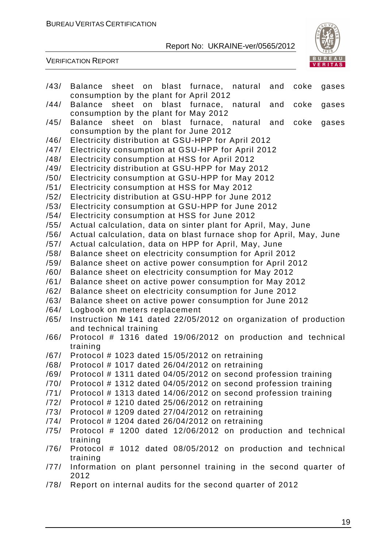

VERIFICATION REPORT

/43/ Balance sheet on blast furnace, natural and coke gases consumption by the plant for April 2012 /44/ Balance sheet on blast furnace, natural and coke gases consumption by the plant for May 2012 /45/ Balance sheet on blast furnace, natural and coke gases consumption by the plant for June 2012 /46/ Electricity distribution at GSU-HPP for April 2012 /47/ Electricity consumption at GSU-HPP for April 2012 /48/ Electricity consumption at HSS for April 2012 /49/ Electricity distribution at GSU-HPP for May 2012 /50/ Electricity consumption at GSU-HPP for May 2012 /51/ Electricity consumption at HSS for May 2012 /52/ Electricity distribution at GSU-HPP for June 2012 /53/ Electricity consumption at GSU-HPP for June 2012 /54/ Electricity consumption at HSS for June 2012 /55/ Actual calculation, data on sinter plant for April, May, June /56/ Actual calculation, data on blast furnace shop for April, May, June /57/ Actual calculation, data on HPP for April, May, June /58/ Balance sheet on electricity consumption for April 2012 /59/ Balance sheet on active power consumption for April 2012 /60/ Balance sheet on electricity consumption for May 2012 /61/ Balance sheet on active power consumption for May 2012 /62/ Balance sheet on electricity consumption for June 2012 /63/ Balance sheet on active power consumption for June 2012 /64/ Logbook on meters replacement /65/ Instruction № 141 dated 22/05/2012 on organization of production and technical training /66/ Protocol # 1316 dated 19/06/2012 on production and technical training /67/ Protocol # 1023 dated 15/05/2012 on retraining /68/ Protocol # 1017 dated 26/04/2012 on retraining /69/ Protocol # 1311 dated 04/05/2012 on second profession training /70/ Protocol # 1312 dated 04/05/2012 on second profession training /71/ Protocol # 1313 dated 14/06/2012 on second profession training /72/ Protocol # 1210 dated 25/06/2012 on retraining /73/ Protocol # 1209 dated 27/04/2012 on retraining /74/ Protocol # 1204 dated 26/04/2012 on retraining /75/ Protocol # 1200 dated 12/06/2012 on production and technical training /76/ Protocol # 1012 dated 08/05/2012 on production and technical training /77/ Information on plant personnel training in the second quarter of 2012 /78/ Report on internal audits for the second quarter of 2012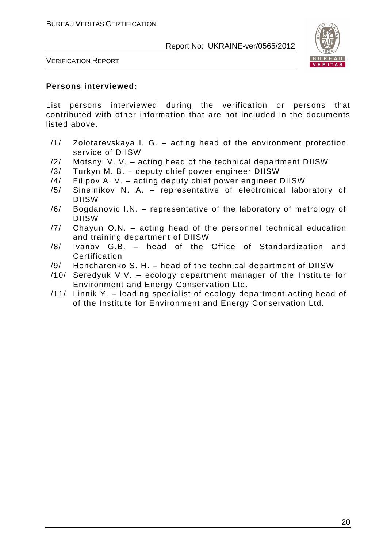

VERIFICATION REPORT

#### **Persons interviewed:**

List persons interviewed during the verification or persons that contributed with other information that are not included in the documents listed above.

- /1/ Zolotarevskaya I. G. acting head of the environment protection service of DIISW
- /2/ Motsnyi V. V. acting head of the technical department DIISW
- /3/ Turkyn M. B. deputy chief power engineer DIISW
- /4/ Filipov A. V. acting deputy chief power engineer DIISW
- /5/ Sinelnikov N. A. representative of electronical laboratory of DIISW
- /6/ Bogdanovic I.N. representative of the laboratory of metrology of DIISW
- /7/ Chayun O.N. acting head of the personnel technical education and training department of DIISW
- /8/ Ivanov G.B. head of the Office of Standardization and Certification
- /9/ Honcharenko S. H. head of the technical department of DIISW
- /10/ Seredyuk V.V. ecology department manager of the Institute for Environment and Energy Conservation Ltd.
- /11/ Linnik Y. leading specialist of ecology department acting head of of the Institute for Environment and Energy Conservation Ltd.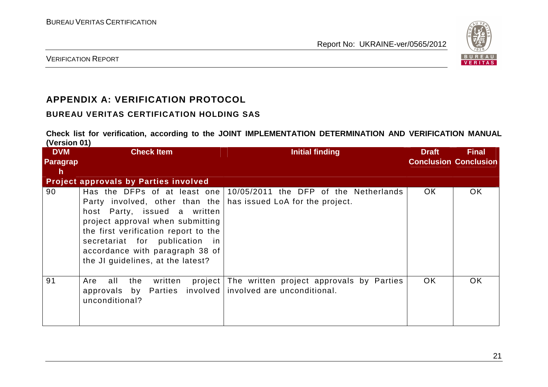

VERIFICATION REPORT

## **APPENDIX A: VERIFICATION PROTOCOL**

### **BUREAU VERITAS CERTIFICATION HOLDING SAS**

**Check list for verification, according to the JOINT IMPLEMENTATION DETERMINATION AND VERIFICATION MANUAL (Version 01)** 

| , <i>.</i><br><b>DVM</b><br><b>Paragrap</b><br><b>h</b> | <b>Check Item</b>                                                                                                                                                                                                                                                                    | <b>Initial finding</b>                                                   | <b>Draft</b><br><b>Conclusion Conclusion</b> | <b>Final</b> |
|---------------------------------------------------------|--------------------------------------------------------------------------------------------------------------------------------------------------------------------------------------------------------------------------------------------------------------------------------------|--------------------------------------------------------------------------|----------------------------------------------|--------------|
|                                                         | <b>Project approvals by Parties involved</b>                                                                                                                                                                                                                                         |                                                                          |                                              |              |
| 90                                                      | Has the DFPs of at least one<br>Party involved, other than the<br>host Party, issued a written<br>project approval when submitting<br>the first verification report to the<br>secretariat for publication in<br>accordance with paragraph 38 of<br>the JI guidelines, at the latest? | 10/05/2011 the DFP of the Netherlands<br>has issued LoA for the project. | OK.                                          | OK.          |
| 91                                                      | all<br>the<br>written<br>Are<br>approvals by Parties involved involved are unconditional.<br>unconditional?                                                                                                                                                                          | project The written project approvals by Parties                         | OK.                                          | OK.          |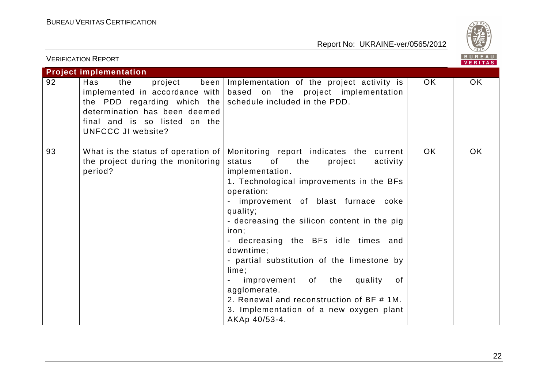

|    | <b>VERIFICATION REPORT</b>                                                                                                                                                     |                                                                                                                                                                                                                                                                                                                                                                                                                                                                                                                                                     |     | BUREAU<br>VERITAS |
|----|--------------------------------------------------------------------------------------------------------------------------------------------------------------------------------|-----------------------------------------------------------------------------------------------------------------------------------------------------------------------------------------------------------------------------------------------------------------------------------------------------------------------------------------------------------------------------------------------------------------------------------------------------------------------------------------------------------------------------------------------------|-----|-------------------|
|    | <b>Project implementation</b>                                                                                                                                                  |                                                                                                                                                                                                                                                                                                                                                                                                                                                                                                                                                     |     |                   |
| 92 | Has<br>the<br>project<br>the PDD regarding which the $ $ schedule included in the PDD.<br>determination has been deemed<br>final and is so listed on the<br>UNFCCC JI website? | been Implementation of the project activity is<br>implemented in accordance with $\vert$ based on the project implementation                                                                                                                                                                                                                                                                                                                                                                                                                        | OK. | OK.               |
| 93 | What is the status of operation of<br>the project during the monitoring<br>period?                                                                                             | Monitoring report indicates the current<br>status<br>of<br>the<br>project<br>activity<br>implementation.<br>1. Technological improvements in the BFs<br>operation:<br>improvement of blast furnace coke<br>quality;<br>- decreasing the silicon content in the pig<br>iron;<br>- decreasing the BFs idle times and<br>downtime;<br>- partial substitution of the limestone by<br>lime;<br>improvement of the quality<br>0f<br>agglomerate.<br>2. Renewal and reconstruction of BF # 1M.<br>3. Implementation of a new oxygen plant<br>AKAp 40/53-4. | OK. | OK.               |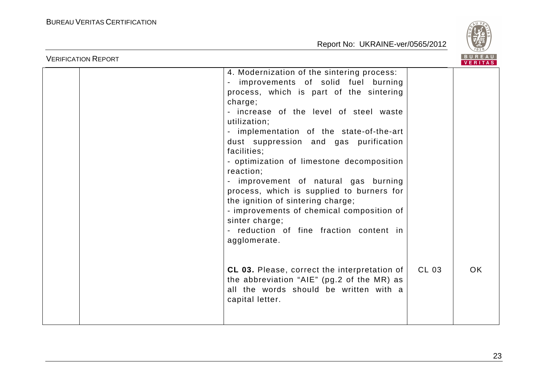

| <b>VERIFICATION REPORT</b> |                                                                                                                                                                                                                                                                                                                                                                                                                                                                                                                                                                                                                    |       |    |
|----------------------------|--------------------------------------------------------------------------------------------------------------------------------------------------------------------------------------------------------------------------------------------------------------------------------------------------------------------------------------------------------------------------------------------------------------------------------------------------------------------------------------------------------------------------------------------------------------------------------------------------------------------|-------|----|
|                            | 4. Modernization of the sintering process:<br>improvements of solid fuel burning<br>process, which is part of the sintering<br>charge;<br>- increase of the level of steel waste<br>utilization;<br>- implementation of the state-of-the-art<br>dust suppression and gas purification<br>facilities;<br>- optimization of limestone decomposition<br>reaction;<br>- improvement of natural gas burning<br>process, which is supplied to burners for<br>the ignition of sintering charge;<br>- improvements of chemical composition of<br>sinter charge;<br>- reduction of fine fraction content in<br>agglomerate. |       |    |
|                            | CL 03. Please, correct the interpretation of<br>the abbreviation "AIE" (pg.2 of the MR) as<br>all the words should be written with a<br>capital letter.                                                                                                                                                                                                                                                                                                                                                                                                                                                            | CL 03 | OK |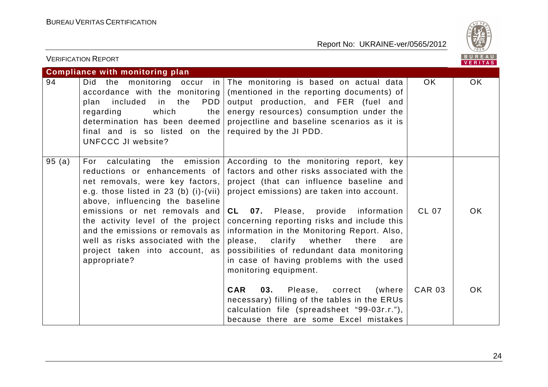

|       | <b>VERIFICATION REPORT</b>                                                                                                                                                                                                                                                                                                                          |                                                                                                                                                                                                                                                                                                                                                                                                                                                                                                                        |               | <b>BUREAU</b><br><b>VERITAS</b> |
|-------|-----------------------------------------------------------------------------------------------------------------------------------------------------------------------------------------------------------------------------------------------------------------------------------------------------------------------------------------------------|------------------------------------------------------------------------------------------------------------------------------------------------------------------------------------------------------------------------------------------------------------------------------------------------------------------------------------------------------------------------------------------------------------------------------------------------------------------------------------------------------------------------|---------------|---------------------------------|
|       | <b>Compliance with monitoring plan</b>                                                                                                                                                                                                                                                                                                              |                                                                                                                                                                                                                                                                                                                                                                                                                                                                                                                        |               |                                 |
| 94    | Did the monitoring occur in $ $<br>accordance with the monitoring<br>PDD<br>included<br>in the<br>plan<br>which<br>regarding<br>the  <br>determination has been deemed<br>final and is so listed on the required by the JI PDD.<br>UNFCCC JI website?                                                                                               | The monitoring is based on actual data<br>(mentioned in the reporting documents) of<br>output production, and FER (fuel and<br>energy resources) consumption under the<br>projectline and baseline scenarios as it is                                                                                                                                                                                                                                                                                                  | OK.           | OK.                             |
| 95(a) | reductions or enhancements of<br>net removals, were key factors,  <br>e.g. those listed in 23 (b) (i)-(vii) $ $<br>above, influencing the baseline<br>emissions or net removals and<br>the activity level of the project<br>and the emissions or removals as<br>well as risks associated with the<br>project taken into account, as<br>appropriate? | For calculating the emission According to the monitoring report, key<br>factors and other risks associated with the<br>project (that can influence baseline and<br>project emissions) are taken into account.<br><b>CL 07.</b> Please, provide information<br>concerning reporting risks and include this<br>information in the Monitoring Report. Also,<br>please, clarify whether<br>there<br>are<br>possibilities of redundant data monitoring<br>in case of having problems with the used<br>monitoring equipment. | CL 07         | OK.                             |
|       |                                                                                                                                                                                                                                                                                                                                                     | <b>CAR</b><br>03.<br>Please,<br>correct<br>(where<br>necessary) filling of the tables in the ERUs<br>calculation file (spreadsheet "99-03r.r."),<br>because there are some Excel mistakes                                                                                                                                                                                                                                                                                                                              | <b>CAR 03</b> | OK.                             |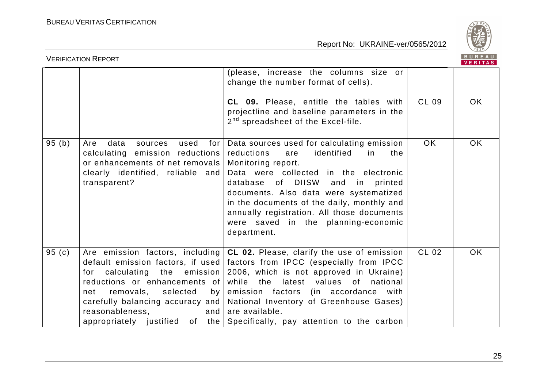

|          | <b>VERIFICATION REPORT</b>                                                                                                                                      |                                                                                                                                                                                                                                                                                                                                                                                                                                                                                                                                               |              | <b>BUREAU</b><br><b>VERITAS</b> |
|----------|-----------------------------------------------------------------------------------------------------------------------------------------------------------------|-----------------------------------------------------------------------------------------------------------------------------------------------------------------------------------------------------------------------------------------------------------------------------------------------------------------------------------------------------------------------------------------------------------------------------------------------------------------------------------------------------------------------------------------------|--------------|---------------------------------|
|          |                                                                                                                                                                 | (please, increase the columns size or<br>change the number format of cells).<br>CL 09. Please, entitle the tables with<br>projectline and baseline parameters in the<br>2 <sup>nd</sup> spreadsheet of the Excel-file.                                                                                                                                                                                                                                                                                                                        | <b>CL 09</b> | OK.                             |
| 95(b)    | data<br>used<br>for<br>Are<br>sources<br>calculating emission reductions<br>or enhancements of net removals<br>clearly identified, reliable and<br>transparent? | Data sources used for calculating emission<br>reductions<br>identified<br>the<br>are<br>in<br>Monitoring report.<br>Data were collected in the electronic<br>database of DIISW and in printed<br>documents. Also data were systematized<br>in the documents of the daily, monthly and<br>annually registration. All those documents<br>were saved in the planning-economic<br>department.                                                                                                                                                     | <b>OK</b>    | <b>OK</b>                       |
| 95 $(c)$ | selected<br>removals,<br>net<br>reasonableness,                                                                                                                 | Are emission factors, including $ CL 02$ . Please, clarify the use of emission<br>default emission factors, if used factors from IPCC (especially from IPCC<br>for calculating the emission $2006$ , which is not approved in Ukraine)<br>reductions or enhancements of while the latest values of<br>national<br>by emission factors (in accordance with<br>carefully balancing accuracy and   National Inventory of Greenhouse Gases)<br>and $ $ are available.<br>appropriately justified of the Specifically, pay attention to the carbon | <b>CL 02</b> | <b>OK</b>                       |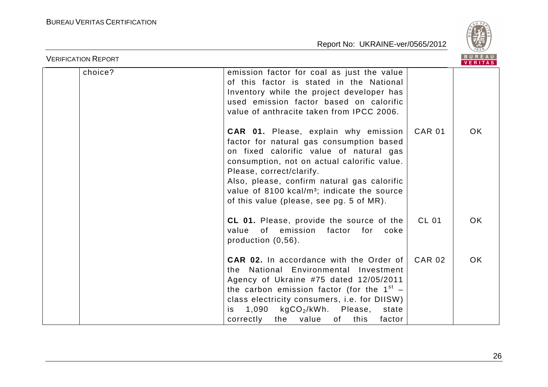

| <b>VERIFICATION REPORT</b> |         |                                                                                                                                                                                                                                                                                                                                                                       |               | <b>BUREAU</b><br><b>VERITAS</b> |
|----------------------------|---------|-----------------------------------------------------------------------------------------------------------------------------------------------------------------------------------------------------------------------------------------------------------------------------------------------------------------------------------------------------------------------|---------------|---------------------------------|
|                            | choice? | emission factor for coal as just the value<br>of this factor is stated in the National<br>Inventory while the project developer has<br>used emission factor based on calorific<br>value of anthracite taken from IPCC 2006.                                                                                                                                           |               |                                 |
|                            |         | <b>CAR 01.</b> Please, explain why emission<br>factor for natural gas consumption based<br>on fixed calorific value of natural gas<br>consumption, not on actual calorific value.<br>Please, correct/clarify.<br>Also, please, confirm natural gas calorific<br>value of $8100$ kcal/m <sup>3</sup> ; indicate the source<br>of this value (please, see pg. 5 of MR). | <b>CAR 01</b> | <b>OK</b>                       |
|                            |         | CL 01. Please, provide the source of the<br>of emission<br>value<br>factor<br>for<br>coke<br>production (0,56).                                                                                                                                                                                                                                                       | <b>CL 01</b>  | <b>OK</b>                       |
|                            |         | <b>CAR 02.</b> In accordance with the Order of<br>the National Environmental Investment<br>Agency of Ukraine #75 dated 12/05/2011<br>the carbon emission factor (for the $1^{st}$ –<br>class electricity consumers, i.e. for DIISW)<br>$1,090$ kgCO <sub>2</sub> /kWh. Please,<br>state<br>is.<br>correctly<br>the value of<br>this<br>factor                         | <b>CAR 02</b> | <b>OK</b>                       |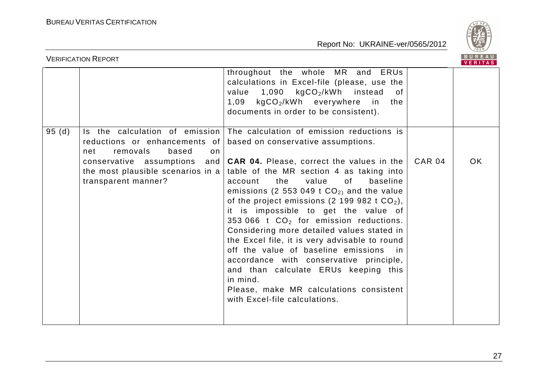

| <b>BUREAU</b><br><b>VERIFICATION REPORT</b> |                                                                 |                                                                                                                                                                                                                                                                                                                                                                                                                                                                                                                                                                                                                                                                                                          |               |     |
|---------------------------------------------|-----------------------------------------------------------------|----------------------------------------------------------------------------------------------------------------------------------------------------------------------------------------------------------------------------------------------------------------------------------------------------------------------------------------------------------------------------------------------------------------------------------------------------------------------------------------------------------------------------------------------------------------------------------------------------------------------------------------------------------------------------------------------------------|---------------|-----|
|                                             |                                                                 | throughout the whole MR and ERUs<br>calculations in Excel-file (please, use the<br>value 1,090 kgCO <sub>2</sub> /kWh instead<br>of<br>$1,09$ kgCO <sub>2</sub> /kWh everywhere<br>in<br>the<br>documents in order to be consistent).                                                                                                                                                                                                                                                                                                                                                                                                                                                                    |               |     |
| 95(d)                                       | reductions or enhancements of<br>removals<br>based<br>net<br>on | Is the calculation of emission The calculation of emission reductions is<br>based on conservative assumptions.                                                                                                                                                                                                                                                                                                                                                                                                                                                                                                                                                                                           |               |     |
|                                             | conservative assumptions<br>transparent manner?                 | and $ $ CAR 04. Please, correct the values in the<br>the most plausible scenarios in a   table of the MR section 4 as taking into<br>the<br>value<br>0f<br>baseline<br>account<br>emissions (2 553 049 t $CO2$ ) and the value<br>of the project emissions (2 199 982 t $CO2$ ),<br>it is impossible to get the value of<br>353 066 $t$ CO <sub>2</sub> for emission reductions.<br>Considering more detailed values stated in<br>the Excel file, it is very advisable to round<br>off the value of baseline emissions<br>in.<br>accordance with conservative principle,<br>and than calculate ERUs keeping this<br>in mind.<br>Please, make MR calculations consistent<br>with Excel-file calculations. | <b>CAR 04</b> | OK. |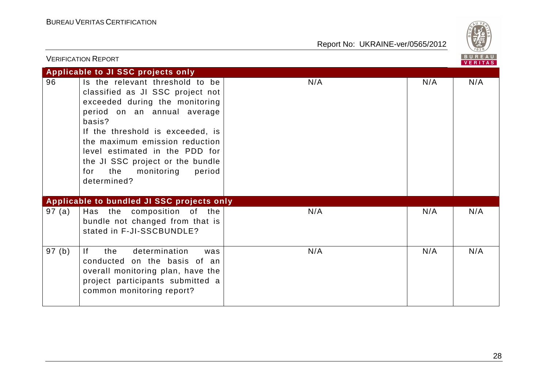

|        | <b>VERIFICATION REPORT</b>                                                                                                                                                                                                                                                                                                                      |     |     | BUREAU<br><b>VERITAS</b> |
|--------|-------------------------------------------------------------------------------------------------------------------------------------------------------------------------------------------------------------------------------------------------------------------------------------------------------------------------------------------------|-----|-----|--------------------------|
|        | Applicable to JI SSC projects only                                                                                                                                                                                                                                                                                                              |     |     |                          |
| 96     | Is the relevant threshold to be<br>classified as JI SSC project not<br>exceeded during the monitoring<br>period on an annual average<br>basis?<br>If the threshold is exceeded, is<br>the maximum emission reduction<br>level estimated in the PDD for<br>the JI SSC project or the bundle<br>the<br>period<br>for<br>monitoring<br>determined? | N/A | N/A | N/A                      |
|        | Applicable to bundled JI SSC projects only                                                                                                                                                                                                                                                                                                      |     |     |                          |
| 97(a)  | Has the composition of the<br>bundle not changed from that is<br>stated in F-JI-SSCBUNDLE?                                                                                                                                                                                                                                                      | N/A | N/A | N/A                      |
| 97 (b) | determination<br>If.<br>the<br>was<br>conducted on the basis of an<br>overall monitoring plan, have the<br>project participants submitted a<br>common monitoring report?                                                                                                                                                                        | N/A | N/A | N/A                      |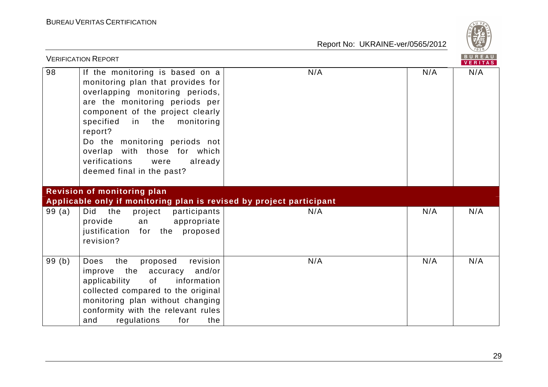

|       | <b>VERIFICATION REPORT</b>                                                                                                                                                                                                                                                                                                                                   |     |     | BUREAU<br>VERITAS |
|-------|--------------------------------------------------------------------------------------------------------------------------------------------------------------------------------------------------------------------------------------------------------------------------------------------------------------------------------------------------------------|-----|-----|-------------------|
| 98    | If the monitoring is based on a<br>monitoring plan that provides for<br>overlapping monitoring periods,<br>are the monitoring periods per<br>component of the project clearly<br>specified<br>in the monitoring<br>report?<br>Do the monitoring periods not<br>overlap with those for which<br>verifications<br>already<br>were<br>deemed final in the past? | N/A | N/A | N/A               |
|       | <b>Revision of monitoring plan</b><br>Applicable only if monitoring plan is revised by project participant                                                                                                                                                                                                                                                   |     |     |                   |
| 99(a) | project<br>Did<br>the<br>participants<br>provide<br>appropriate<br>an<br>justification for the proposed<br>revision?                                                                                                                                                                                                                                         | N/A | N/A | N/A               |
| 99(b) | revision<br>the<br><b>Does</b><br>proposed<br>the<br>and/or<br>improve<br>accuracy<br>applicability<br>of<br>information<br>collected compared to the original<br>monitoring plan without changing<br>conformity with the relevant rules<br>regulations<br>for<br>the<br>and                                                                                 | N/A | N/A | N/A               |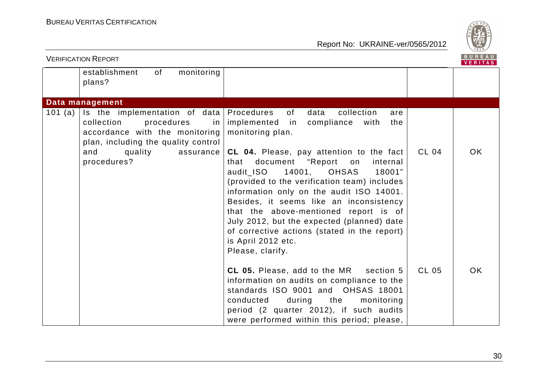

| <b>VERIFICATION REPORT</b> |                                                                                                                                          |                                                                                                                                                                                                                                                                                                                                                                                                                                                 |              | <b>BUREAU</b><br><b>VERITAS</b> |
|----------------------------|------------------------------------------------------------------------------------------------------------------------------------------|-------------------------------------------------------------------------------------------------------------------------------------------------------------------------------------------------------------------------------------------------------------------------------------------------------------------------------------------------------------------------------------------------------------------------------------------------|--------------|---------------------------------|
|                            | establishment<br>of<br>monitoring<br>plans?                                                                                              |                                                                                                                                                                                                                                                                                                                                                                                                                                                 |              |                                 |
|                            | Data management                                                                                                                          |                                                                                                                                                                                                                                                                                                                                                                                                                                                 |              |                                 |
| 101 $(a)$                  | Is the implementation of data<br>collection<br>procedures<br>in<br>accordance with the monitoring<br>plan, including the quality control | Procedures<br>of<br>collection<br>data<br>are<br>implemented in<br>compliance with<br>the<br>monitoring plan.                                                                                                                                                                                                                                                                                                                                   |              |                                 |
|                            | quality<br>and<br>assurance<br>procedures?                                                                                               | CL 04. Please, pay attention to the fact<br>document "Report on<br>internal<br>that<br>audit_ISO 14001, OHSAS<br>18001"<br>(provided to the verification team) includes<br>information only on the audit ISO 14001.<br>Besides, it seems like an inconsistency<br>that the above-mentioned report is of<br>July 2012, but the expected (planned) date<br>of corrective actions (stated in the report)<br>is April 2012 etc.<br>Please, clarify. | CL 04        | OK.                             |
|                            |                                                                                                                                          | CL 05. Please, add to the MR<br>section 5<br>information on audits on compliance to the<br>standards ISO 9001 and OHSAS 18001<br>conducted<br>during<br>the<br>monitoring<br>period (2 quarter 2012), if such audits<br>were performed within this period; please,                                                                                                                                                                              | <b>CL 05</b> | OK.                             |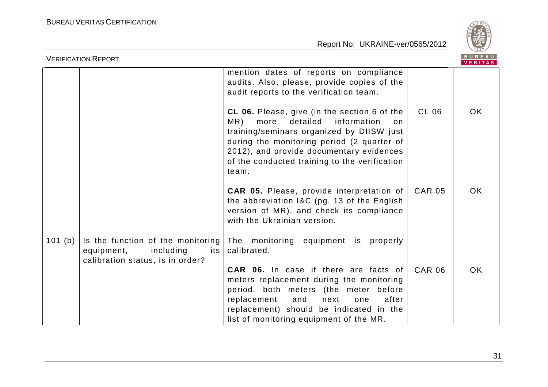

| <b>VERIFICATION REPORT</b>                                                                                         |                                                                                                                                                                                                                                                                                               |               | BUREAU<br><b>VERITAS</b> |
|--------------------------------------------------------------------------------------------------------------------|-----------------------------------------------------------------------------------------------------------------------------------------------------------------------------------------------------------------------------------------------------------------------------------------------|---------------|--------------------------|
|                                                                                                                    | mention dates of reports on compliance<br>audits. Also, please, provide copies of the<br>audit reports to the verification team.                                                                                                                                                              |               |                          |
|                                                                                                                    | CL 06. Please, give (in the section 6 of the<br>MR)<br>detailed<br>information<br>more<br>on<br>training/seminars organized by DIISW just<br>during the monitoring period (2 quarter of<br>2012), and provide documentary evidences<br>of the conducted training to the verification<br>team. | CL 06         | <b>OK</b>                |
|                                                                                                                    | <b>CAR 05.</b> Please, provide interpretation of<br>the abbreviation I&C (pg. 13 of the English<br>version of MR), and check its compliance<br>with the Ukrainian version.                                                                                                                    | <b>CAR 05</b> | <b>OK</b>                |
| Is the function of the monitoring<br>101 (b)<br>equipment,<br>including<br>its<br>calibration status, is in order? | The monitoring equipment is properly<br>calibrated.                                                                                                                                                                                                                                           |               |                          |
|                                                                                                                    | <b>CAR 06.</b> In case if there are facts of<br>meters replacement during the monitoring<br>period, both meters (the meter before<br>replacement<br>and<br>next<br>after<br>one<br>replacement) should be indicated in the<br>list of monitoring equipment of the MR.                         | <b>CAR 06</b> | <b>OK</b>                |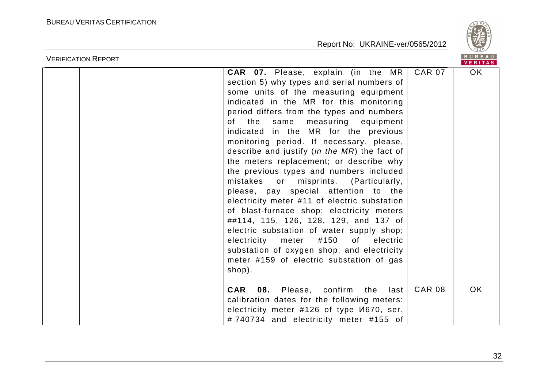

| <b>VERIFICATION REPORT</b>                                                                                                                                                                                                                                                                                                                                                                                                                                                                                                                                                                                                                                                                                                                                                                                                                                                                                        |               | <b>BUREAU</b><br><b>VERITAS</b> |
|-------------------------------------------------------------------------------------------------------------------------------------------------------------------------------------------------------------------------------------------------------------------------------------------------------------------------------------------------------------------------------------------------------------------------------------------------------------------------------------------------------------------------------------------------------------------------------------------------------------------------------------------------------------------------------------------------------------------------------------------------------------------------------------------------------------------------------------------------------------------------------------------------------------------|---------------|---------------------------------|
| <b>CAR 07.</b> Please, explain (in the MR<br>section 5) why types and serial numbers of<br>some units of the measuring equipment<br>indicated in the MR for this monitoring<br>period differs from the types and numbers<br>the same<br>measuring equipment<br>of l<br>indicated in the MR for the previous<br>monitoring period. If necessary, please,<br>describe and justify (in the MR) the fact of<br>the meters replacement; or describe why<br>the previous types and numbers included<br>mistakes or misprints. (Particularly,<br>please, pay special attention to the<br>electricity meter #11 of electric substation<br>of blast-furnace shop; electricity meters<br>##114, 115, 126, 128, 129, and 137 of<br>electric substation of water supply shop;<br>electricity meter<br>#150<br>of electric<br>substation of oxygen shop; and electricity<br>meter #159 of electric substation of gas<br>shop). | <b>CAR 07</b> | OK.                             |
| <b>CAR 08.</b> Please, confirm the last<br>calibration dates for the following meters:<br>electricity meter #126 of type <i>V</i> 1670, ser.<br>#740734 and electricity meter #155 of                                                                                                                                                                                                                                                                                                                                                                                                                                                                                                                                                                                                                                                                                                                             | <b>CAR 08</b> | <b>OK</b>                       |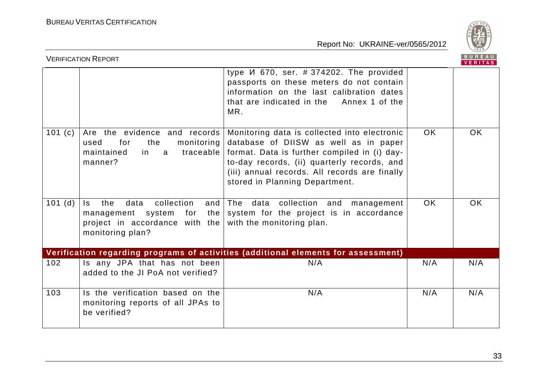

|           | <b>VERIFICATION REPORT</b>                                                                                              |                                                                                                                                                                                                                                                                         |           | BUREAU    |
|-----------|-------------------------------------------------------------------------------------------------------------------------|-------------------------------------------------------------------------------------------------------------------------------------------------------------------------------------------------------------------------------------------------------------------------|-----------|-----------|
|           |                                                                                                                         | type <i>V</i> 670, ser. # 374202. The provided<br>passports on these meters do not contain<br>information on the last calibration dates<br>that are indicated in the Annex 1 of the<br>MR.                                                                              |           |           |
| 101 $(c)$ | Are the evidence and records<br>monitoring<br>for<br>the<br>used<br>traceable<br>maintained<br>in.<br>a<br>manner?      | Monitoring data is collected into electronic<br>database of DIISW as well as in paper<br>format. Data is further compiled in (i) day-<br>to-day records, (ii) quarterly records, and<br>(iii) annual records. All records are finally<br>stored in Planning Department. | OK.       | <b>OK</b> |
| 101(d)    | collection<br>the<br>data<br>Is.<br>and<br>project in accordance with the with the monitoring plan.<br>monitoring plan? | The data collection and<br>management<br>management system for the system for the project is in accordance                                                                                                                                                              | <b>OK</b> | <b>OK</b> |
|           |                                                                                                                         | Verification regarding programs of activities (additional elements for assessment)                                                                                                                                                                                      |           |           |
| 102       | Is any JPA that has not been<br>added to the JI PoA not verified?                                                       | N/A                                                                                                                                                                                                                                                                     | N/A       | N/A       |
| 103       | Is the verification based on the<br>monitoring reports of all JPAs to<br>be verified?                                   | N/A                                                                                                                                                                                                                                                                     | N/A       | N/A       |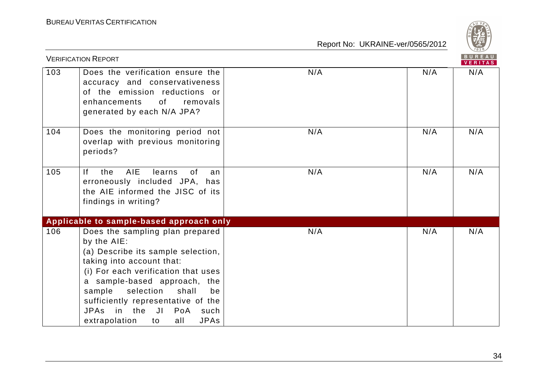

|     | <b>VERIFICATION REPORT</b>                                                                                                                                                                                                                                                                                                                      |     |     | BUREAU<br><b>VERITAS</b> |
|-----|-------------------------------------------------------------------------------------------------------------------------------------------------------------------------------------------------------------------------------------------------------------------------------------------------------------------------------------------------|-----|-----|--------------------------|
| 103 | Does the verification ensure the<br>accuracy and conservativeness<br>of the emission reductions or<br>0f<br>enhancements<br>removals<br>generated by each N/A JPA?                                                                                                                                                                              | N/A | N/A | N/A                      |
| 104 | Does the monitoring period not<br>overlap with previous monitoring<br>periods?                                                                                                                                                                                                                                                                  | N/A | N/A | N/A                      |
| 105 | <b>AIE</b><br> f <br>the<br>learns<br>0f<br>an<br>erroneously included JPA, has<br>the AIE informed the JISC of its<br>findings in writing?                                                                                                                                                                                                     | N/A | N/A | N/A                      |
|     | Applicable to sample-based approach only                                                                                                                                                                                                                                                                                                        |     |     |                          |
| 106 | Does the sampling plan prepared<br>by the AIE:<br>(a) Describe its sample selection,<br>taking into account that:<br>(i) For each verification that uses<br>a sample-based approach, the<br>sample<br>selection<br>shall<br>be<br>sufficiently representative of the<br>JPAs in the JI PoA<br>such<br><b>JPAs</b><br>extrapolation<br>all<br>to | N/A | N/A | N/A                      |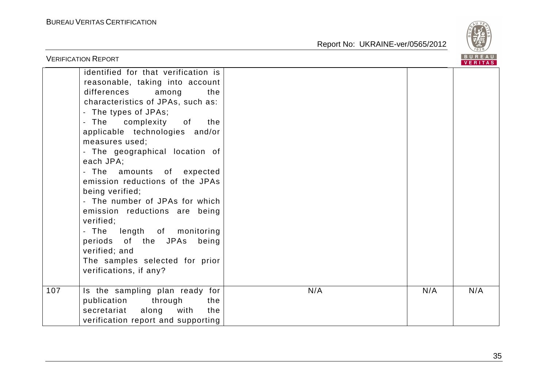

| <b>VERIFICATION REPORT</b>                                                                                                                                                                                                                                                                                                                                                                                                                                                                                                                                                                                                                              |     |     | <b>BUREAU</b><br><b>VERITAS</b> |
|---------------------------------------------------------------------------------------------------------------------------------------------------------------------------------------------------------------------------------------------------------------------------------------------------------------------------------------------------------------------------------------------------------------------------------------------------------------------------------------------------------------------------------------------------------------------------------------------------------------------------------------------------------|-----|-----|---------------------------------|
| identified for that verification is<br>reasonable, taking into account<br>differences among<br>the<br>characteristics of JPAs, such as:<br>- The types of JPAs;<br>- The complexity of<br>the<br>applicable technologies and/or<br>measures used;<br>- The geographical location of<br>each JPA;<br>- The amounts of expected<br>emission reductions of the JPAs<br>being verified;<br>- The number of JPAs for which<br>emission reductions are being<br>verified;<br>length of monitoring<br>- The<br>periods of the JPAs being<br>verified; and<br>The samples selected for prior<br>verifications, if any?<br>107<br>Is the sampling plan ready for | N/A | N/A | N/A                             |
| publication<br>through<br>the<br>secretariat<br>along<br>with<br>the<br>verification report and supporting                                                                                                                                                                                                                                                                                                                                                                                                                                                                                                                                              |     |     |                                 |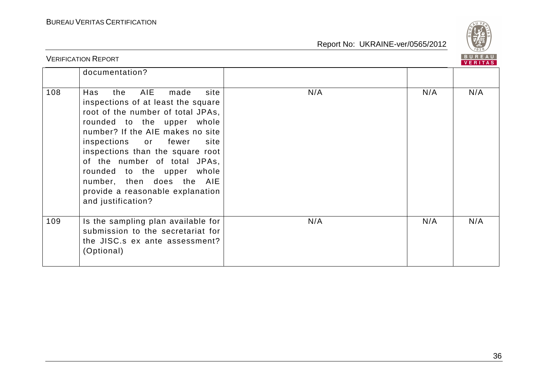

| <b>VERIFICATION REPORT</b> |                                                                                                                                                                                                                                                                                                                                                                                                         |     | <b>BUREAU</b><br><b>VERITAS</b> |     |
|----------------------------|---------------------------------------------------------------------------------------------------------------------------------------------------------------------------------------------------------------------------------------------------------------------------------------------------------------------------------------------------------------------------------------------------------|-----|---------------------------------|-----|
|                            | documentation?                                                                                                                                                                                                                                                                                                                                                                                          |     |                                 |     |
| 108                        | AIE<br>Has<br>the<br>made<br>site<br>inspections of at least the square<br>root of the number of total JPAs,<br>rounded to the upper whole<br>number? If the AIE makes no site<br>inspections or fewer<br>site<br>inspections than the square root<br>of the number of total JPAs,<br>rounded to the upper whole<br>number, then does the AIE<br>provide a reasonable explanation<br>and justification? | N/A | N/A                             | N/A |
| 109                        | Is the sampling plan available for<br>submission to the secretariat for<br>the JISC.s ex ante assessment?<br>(Optional)                                                                                                                                                                                                                                                                                 | N/A | N/A                             | N/A |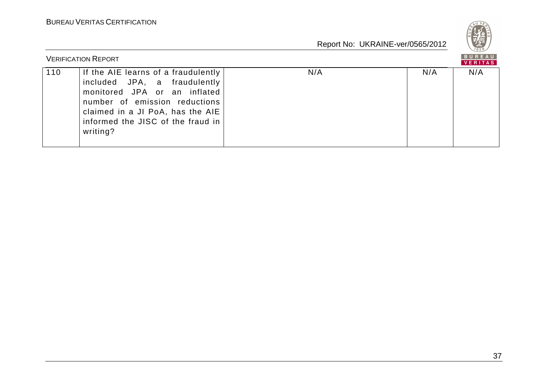

|     | <b>VERIFICATION REPORT</b>                                                                                                                                                                                                |     |     | <b>BUREAU</b><br><b>VERITAS</b> |
|-----|---------------------------------------------------------------------------------------------------------------------------------------------------------------------------------------------------------------------------|-----|-----|---------------------------------|
| 110 | If the AIE learns of a fraudulently<br>included JPA, a fraudulently<br>monitored JPA or an inflated<br>number of emission reductions<br>claimed in a JI PoA, has the AIE<br>informed the JISC of the fraud in<br>writing? | N/A | N/A | N/A                             |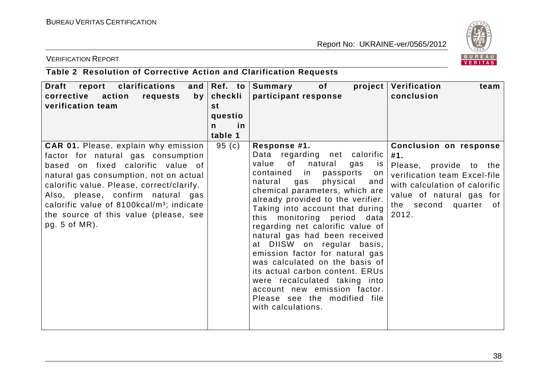

### VERIFICATION REPORT

## **Table 2 Resolution of Corrective Action and Clarification Requests**

| report clarifications<br><b>Draft</b><br>corrective action<br>requests<br>by <sub>1</sub><br>verification team                                                                                                                                                                                                                                                          | and $\Re$ Ref. to<br>checkli<br>st<br>questio<br>in<br>n<br>table 1 | of the contract of the contract of the contract of the contract of the contract of the contract of the contract of the contract of the contract of the contract of the contract of the contract of the contract of the contrac<br>project<br>  Summary<br>participant response                                                                                                                                                                                                                                                                                                                                                                | Verification<br>team<br>conclusion                                                                                                                                                     |
|-------------------------------------------------------------------------------------------------------------------------------------------------------------------------------------------------------------------------------------------------------------------------------------------------------------------------------------------------------------------------|---------------------------------------------------------------------|-----------------------------------------------------------------------------------------------------------------------------------------------------------------------------------------------------------------------------------------------------------------------------------------------------------------------------------------------------------------------------------------------------------------------------------------------------------------------------------------------------------------------------------------------------------------------------------------------------------------------------------------------|----------------------------------------------------------------------------------------------------------------------------------------------------------------------------------------|
| <b>CAR 01.</b> Please, explain why emission<br>factor for natural gas consumption<br>based on fixed calorific value of<br>natural gas consumption, not on actual<br>calorific value. Please, correct/clarify.<br>Also, please, confirm natural gas<br>calorific value of 8100kcal/m <sup>3</sup> ; indicate<br>the source of this value (please, see<br>pg. $5$ of MR). | 95(c)                                                               | Response #1.<br>Data regarding net calorific<br>of<br>value<br>natural<br>gas<br><b>is</b><br>contained in<br>passports<br>on<br>natural<br>physical<br>and<br>gas<br>chemical parameters, which are<br>already provided to the verifier.<br>Taking into account that during<br>this monitoring period data<br>regarding net calorific value of<br>natural gas had been received<br>at DIISW on regular basis,<br>emission factor for natural gas<br>was calculated on the basis of<br>its actual carbon content. ERUs<br>were recalculated taking into<br>account new emission factor.<br>Please see the modified file<br>with calculations. | Conclusion on response<br>#1.<br>Please, provide to the<br>verification team Excel-file<br>with calculation of calorific<br>value of natural gas for<br>the second quarter of<br>2012. |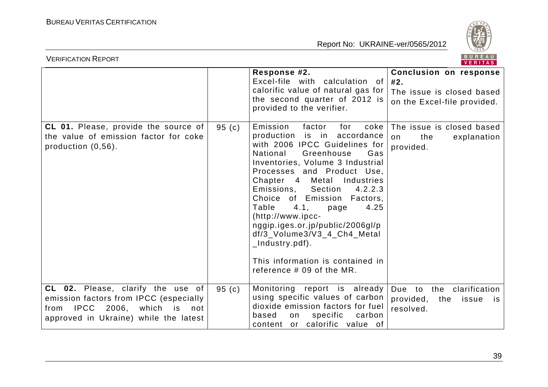

| <b>VERIFICATION REPORT</b>                                                                                                                                    | BUREAU<br>VERITAS |                                                                                                                                                                                                                                                                                                                                                                                                                                                                                                                  |                                                                                                  |
|---------------------------------------------------------------------------------------------------------------------------------------------------------------|-------------------|------------------------------------------------------------------------------------------------------------------------------------------------------------------------------------------------------------------------------------------------------------------------------------------------------------------------------------------------------------------------------------------------------------------------------------------------------------------------------------------------------------------|--------------------------------------------------------------------------------------------------|
|                                                                                                                                                               |                   | Response #2.<br>Excel-file with calculation of<br>calorific value of natural gas for<br>the second quarter of 2012 is<br>provided to the verifier.                                                                                                                                                                                                                                                                                                                                                               | <b>Conclusion on response</b><br>#2.<br>The issue is closed based<br>on the Excel-file provided. |
| CL 01. Please, provide the source of<br>the value of emission factor for coke<br>production $(0,56)$ .                                                        | 95(c)             | Emission<br>factor<br>for<br>coke<br>production is in accordance<br>with 2006 IPCC Guidelines for<br>National<br>Greenhouse<br>Gas<br>Inventories, Volume 3 Industrial<br>Processes and Product Use,<br>Chapter 4 Metal Industries<br>Emissions, Section<br>4.2.2.3<br>Choice of Emission Factors,<br>Table<br>4.1,<br>4.25<br>page<br>(http://www.ipcc-<br>nggip.iges.or.jp/public/2006gl/p<br>df/3_Volume3/V3_4_Ch4_Metal<br>_Industry.pdf).<br>This information is contained in<br>reference $#09$ of the MR. | The issue is closed based<br>the<br>on<br>explanation<br>provided.                               |
| CL 02. Please, clarify the use of<br>emission factors from IPCC (especially<br>from IPCC 2006,<br>which<br>is<br>not<br>approved in Ukraine) while the latest | 95(c)             | Monitoring report is already<br>using specific values of carbon<br>dioxide emission factors for fuel<br>based<br>specific<br>carbon<br>on<br>content or calorific value of                                                                                                                                                                                                                                                                                                                                       | to the<br>clarification<br>Due<br>provided,<br>the<br>issue<br>is i<br>resolved.                 |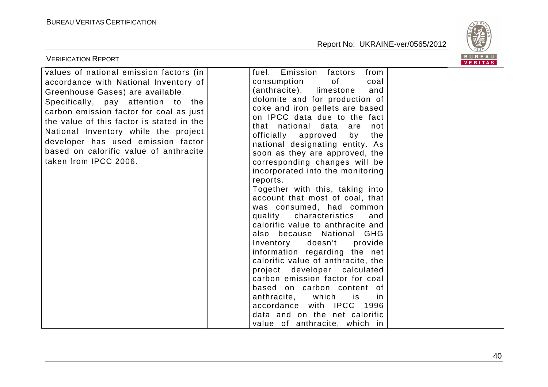

| <b>VERIFICATION REPORT</b>                                                                                                                                                                                                                                                                                                                                                                          |                                                                                                                                                                                                                                                                                                                                                                                                                                                                                                                                                                                                                                                                                                                                                                                                                                                                                                                                                                                      | BUREAU<br>VERITAS |
|-----------------------------------------------------------------------------------------------------------------------------------------------------------------------------------------------------------------------------------------------------------------------------------------------------------------------------------------------------------------------------------------------------|--------------------------------------------------------------------------------------------------------------------------------------------------------------------------------------------------------------------------------------------------------------------------------------------------------------------------------------------------------------------------------------------------------------------------------------------------------------------------------------------------------------------------------------------------------------------------------------------------------------------------------------------------------------------------------------------------------------------------------------------------------------------------------------------------------------------------------------------------------------------------------------------------------------------------------------------------------------------------------------|-------------------|
| values of national emission factors (in<br>accordance with National Inventory of<br>Greenhouse Gases) are available.<br>Specifically, pay attention to the<br>carbon emission factor for coal as just<br>the value of this factor is stated in the<br>National Inventory while the project<br>developer has used emission factor<br>based on calorific value of anthracite<br>taken from IPCC 2006. | Emission<br>factors<br>from<br>fuel.<br>consumption<br>of<br>coal<br>(anthracite),<br>limestone<br>and<br>dolomite and for production of<br>coke and iron pellets are based<br>on IPCC data due to the fact<br>that national data are<br>not<br>officially approved<br>by<br>the<br>national designating entity. As<br>soon as they are approved, the<br>corresponding changes will be<br>incorporated into the monitoring<br>reports.<br>Together with this, taking into<br>account that most of coal, that<br>was consumed, had common<br>quality<br>characteristics<br>and<br>calorific value to anthracite and<br>also because National GHG<br>Inventory doesn't provide<br>information regarding the net<br>calorific value of anthracite, the<br>project developer calculated<br>carbon emission factor for coal<br>based on carbon content of<br>anthracite, which<br>is<br>1n<br>accordance with IPCC 1996<br>data and on the net calorific<br>value of anthracite, which in |                   |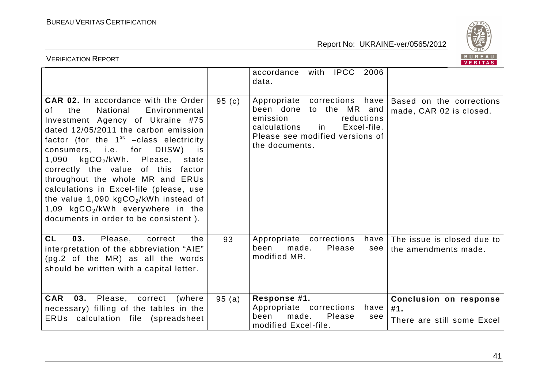

| BUREAU<br><b>VERIFICATION REPORT</b><br>VERITAS                                                                                                                                                                                                                                                                                                                                                                                                                                                                                                                |       |                                                                                                                                                                             |                                                                    |  |
|----------------------------------------------------------------------------------------------------------------------------------------------------------------------------------------------------------------------------------------------------------------------------------------------------------------------------------------------------------------------------------------------------------------------------------------------------------------------------------------------------------------------------------------------------------------|-------|-----------------------------------------------------------------------------------------------------------------------------------------------------------------------------|--------------------------------------------------------------------|--|
|                                                                                                                                                                                                                                                                                                                                                                                                                                                                                                                                                                |       | with IPCC<br>2006<br>accordance<br>data.                                                                                                                                    |                                                                    |  |
| <b>CAR 02.</b> In accordance with the Order<br>the<br>National<br>Environmental<br>0f.<br>Investment Agency of Ukraine #75<br>dated 12/05/2011 the carbon emission<br>factor (for the $1st$ -class electricity<br>DIISW)<br>consumers, i.e. for<br>is<br>$kgCO2/kWh$ . Please,<br>1,090<br>state<br>correctly the value of this<br>factor<br>throughout the whole MR and ERUs<br>calculations in Excel-file (please, use<br>the value $1,090$ kgCO <sub>2</sub> /kWh instead of<br>1,09 $kgCO2/kWh$ everywhere in the<br>documents in order to be consistent). | 95(c) | Appropriate corrections have<br>been done to the MR and<br>emission<br>reductions<br>Excel-file.<br>calculations<br>in<br>Please see modified versions of<br>the documents. | Based on the corrections<br>made, CAR 02 is closed.                |  |
| <b>CL</b><br>03.<br>Please,<br>correct<br>the<br>interpretation of the abbreviation "AIE"<br>(pg.2 of the MR) as all the words<br>should be written with a capital letter.                                                                                                                                                                                                                                                                                                                                                                                     | 93    | Appropriate corrections<br>have<br>made.<br>Please<br>been<br>see<br>modified MR.                                                                                           | The issue is closed due to<br>the amendments made.                 |  |
| <b>CAR</b><br>03.<br>Please, correct<br>(where<br>necessary) filling of the tables in the<br>ERUs calculation file (spreadsheet                                                                                                                                                                                                                                                                                                                                                                                                                                | 95(a) | Response #1.<br>Appropriate corrections<br>have<br>Please<br>been<br>made.<br>see<br>modified Excel-file.                                                                   | <b>Conclusion on response</b><br>#1.<br>There are still some Excel |  |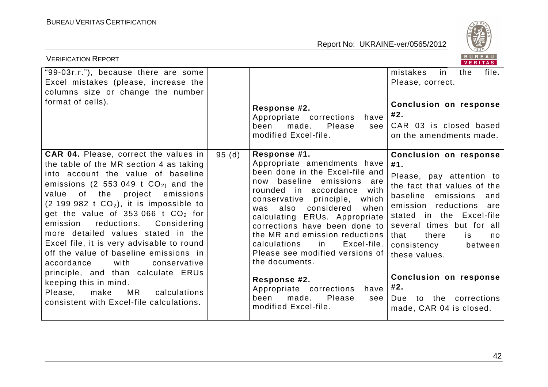

| <b>VERIFICATION REPORT</b>                                                                                                                                                                                                                                                                                                                                                                                                                                                                                                                                                                                                                                              |       |                                                                                                                                                                                                                                                                                                                                                                                                                                                                                                                                             | BUREAU<br>VERITAS                                                                                                                                                                                                                                                                                                                                                                         |
|-------------------------------------------------------------------------------------------------------------------------------------------------------------------------------------------------------------------------------------------------------------------------------------------------------------------------------------------------------------------------------------------------------------------------------------------------------------------------------------------------------------------------------------------------------------------------------------------------------------------------------------------------------------------------|-------|---------------------------------------------------------------------------------------------------------------------------------------------------------------------------------------------------------------------------------------------------------------------------------------------------------------------------------------------------------------------------------------------------------------------------------------------------------------------------------------------------------------------------------------------|-------------------------------------------------------------------------------------------------------------------------------------------------------------------------------------------------------------------------------------------------------------------------------------------------------------------------------------------------------------------------------------------|
| "99-03r.r."), because there are some<br>Excel mistakes (please, increase the<br>columns size or change the number<br>format of cells).                                                                                                                                                                                                                                                                                                                                                                                                                                                                                                                                  |       | Response #2.<br>Appropriate corrections<br>have<br>made.<br>Please<br>been<br>see<br>modified Excel-file.                                                                                                                                                                                                                                                                                                                                                                                                                                   | mistakes<br>the<br>file.<br>in<br>Please, correct.<br><b>Conclusion on response</b><br>#2.<br>CAR 03 is closed based<br>on the amendments made.                                                                                                                                                                                                                                           |
| <b>CAR 04.</b> Please, correct the values in<br>the table of the MR section 4 as taking<br>into account the value of baseline<br>emissions (2 553 049 t $CO2$ ) and the<br>of the project emissions<br>value<br>$(2\ 199\ 982\ t\ CO_2)$ , it is impossible to<br>get the value of 353 066 t $CO2$ for<br>reductions.<br>Considering<br>emission<br>more detailed values stated in the<br>Excel file, it is very advisable to round<br>off the value of baseline emissions in<br>accordance<br>with<br>conservative<br>principle, and than calculate ERUs<br>keeping this in mind.<br>MR<br>Please,<br>calculations<br>make<br>consistent with Excel-file calculations. | 95(d) | Response #1.<br>Appropriate amendments have<br>been done in the Excel-file and<br>baseline emissions<br>now<br>are<br>rounded in accordance<br>with<br>conservative principle,<br>which<br>also considered<br>when<br>was<br>calculating ERUs. Appropriate<br>corrections have been done to<br>the MR and emission reductions<br><b>in</b><br>Excel-file.<br>calculations<br>Please see modified versions of<br>the documents.<br>Response #2.<br>Appropriate corrections<br>have<br>Please<br>made.<br>been<br>see<br>modified Excel-file. | <b>Conclusion on response</b><br>#1.<br>Please, pay attention to<br>the fact that values of the<br>baseline emissions<br>and<br>emission reductions<br>are<br>stated in the Excel-file<br>several times but for all<br>that<br>there<br>is.<br>no<br>consistency<br>between<br>these values.<br><b>Conclusion on response</b><br>#2.<br>Due to the corrections<br>made, CAR 04 is closed. |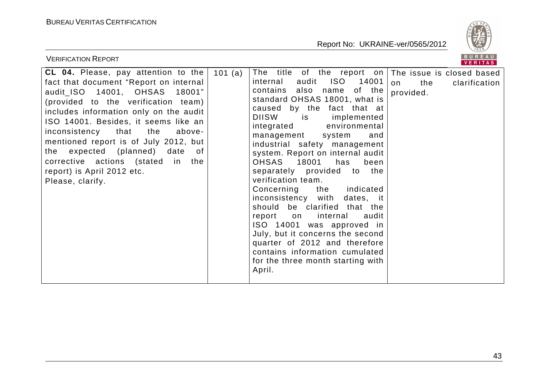

| <b>VERIFICATION REPORT</b>                                                                                                                                                                                                                                                                                                                                                                                                                               |                                                                                                                                                                                                                                                                                                                                                                                                                                                                                                                                                                                                                                                                                                                                                                                    | BUREAU<br><b>VERITAS</b>                |
|----------------------------------------------------------------------------------------------------------------------------------------------------------------------------------------------------------------------------------------------------------------------------------------------------------------------------------------------------------------------------------------------------------------------------------------------------------|------------------------------------------------------------------------------------------------------------------------------------------------------------------------------------------------------------------------------------------------------------------------------------------------------------------------------------------------------------------------------------------------------------------------------------------------------------------------------------------------------------------------------------------------------------------------------------------------------------------------------------------------------------------------------------------------------------------------------------------------------------------------------------|-----------------------------------------|
| CL 04. Please, pay attention to the<br>fact that document "Report on internal<br>audit_ISO  14001,  OHSAS  18001"<br>(provided to the verification team)<br>includes information only on the audit<br>ISO 14001. Besides, it seems like an<br>inconsistency that<br>the<br>above-<br>mentioned report is of July 2012, but<br>the expected (planned) date<br>of .<br>corrective actions (stated in the<br>report) is April 2012 etc.<br>Please, clarify. | The title of the report on The issue is closed based<br>101 (a)<br>ISO 14001<br>audit<br>internal<br>contains also name<br>of the  <br>standard OHSAS 18001, what is<br>caused by the fact that at<br><b>DIISW</b><br>implemented<br>is is<br>integrated<br>environmental<br>management<br>system<br>and<br>industrial safety management<br>system. Report on internal audit<br>OHSAS 18001<br>has<br>been<br>separately provided to the<br>verification team.<br>the indicated<br>Concerning<br>inconsistency with<br>dates, it<br>should be clarified that the<br>report on internal<br>audit<br>ISO 14001 was approved in<br>July, but it concerns the second<br>quarter of 2012 and therefore<br>contains information cumulated<br>for the three month starting with<br>April. | the<br>clarification<br>on<br>provided. |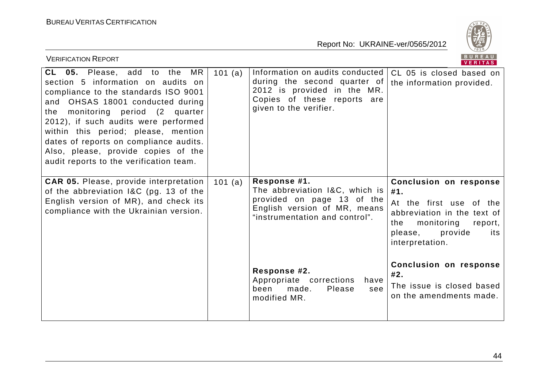

| <b>VERIFICATION REPORT</b>                                                                                                                                                                                                                                                                                                                                                                              |           |                                                                                                                                                         | BUREAU<br><b>VERITAS</b>                                                                                                                                                       |
|---------------------------------------------------------------------------------------------------------------------------------------------------------------------------------------------------------------------------------------------------------------------------------------------------------------------------------------------------------------------------------------------------------|-----------|---------------------------------------------------------------------------------------------------------------------------------------------------------|--------------------------------------------------------------------------------------------------------------------------------------------------------------------------------|
| CL 05. Please, add to the<br>MR.<br>section 5 information on audits on<br>compliance to the standards ISO 9001<br>OHSAS 18001 conducted during<br>and<br>monitoring period (2 quarter<br>the<br>2012), if such audits were performed<br>within this period; please, mention<br>dates of reports on compliance audits.<br>Also, please, provide copies of the<br>audit reports to the verification team. | 101 $(a)$ | Information on audits conducted<br>during the second quarter of<br>2012 is provided in the MR.<br>Copies of these reports are<br>given to the verifier. | CL 05 is closed based on<br>the information provided.                                                                                                                          |
| <b>CAR 05.</b> Please, provide interpretation<br>of the abbreviation I&C (pg. 13 of the<br>English version of MR), and check its<br>compliance with the Ukrainian version.                                                                                                                                                                                                                              | 101 (a)   | Response #1.<br>The abbreviation I&C, which is<br>provided on page 13 of the<br>English version of MR, means<br>"instrumentation and control".          | <b>Conclusion on response</b><br>#1.<br>At the first use of the<br>abbreviation in the text of<br>monitoring<br>the<br>report,<br>please,<br>provide<br>its<br>interpretation. |
|                                                                                                                                                                                                                                                                                                                                                                                                         |           | Response #2.<br>Appropriate corrections<br>have<br>been<br>made.<br>Please<br>see<br>modified MR.                                                       | <b>Conclusion on response</b><br>#2.<br>The issue is closed based<br>on the amendments made.                                                                                   |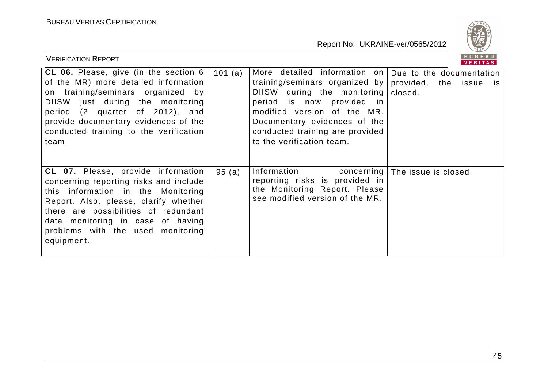

| <b>VERIFICATION REPORT</b>                                                                                                                                                                                                                                                                         |        |                                                                                                                                                                                                                                                                                                                     | <b>BUREAU</b><br><b>VERITAS</b> |
|----------------------------------------------------------------------------------------------------------------------------------------------------------------------------------------------------------------------------------------------------------------------------------------------------|--------|---------------------------------------------------------------------------------------------------------------------------------------------------------------------------------------------------------------------------------------------------------------------------------------------------------------------|---------------------------------|
| CL 06. Please, give (in the section $6$  <br>of the MR) more detailed information<br>on training/seminars organized by<br>DIISW just during the monitoring<br>period (2 quarter of 2012), and<br>provide documentary evidences of the<br>conducted training to the verification<br>team.           | 101(a) | More detailed information on Due to the documentation<br>training/seminars organized by provided, the issue is<br>DIISW during the monitoring   closed.<br>period is now provided in<br>modified version of the MR.<br>Documentary evidences of the<br>conducted training are provided<br>to the verification team. |                                 |
| <b>CL 07.</b> Please, provide information<br>concerning reporting risks and include<br>this information in the Monitoring<br>Report. Also, please, clarify whether<br>there are possibilities of redundant<br>data monitoring in case of having<br>problems with the used monitoring<br>equipment. | 95(a)  | Information<br>concerning  <br>reporting risks is provided in<br>the Monitoring Report. Please<br>see modified version of the MR.                                                                                                                                                                                   | The issue is closed.            |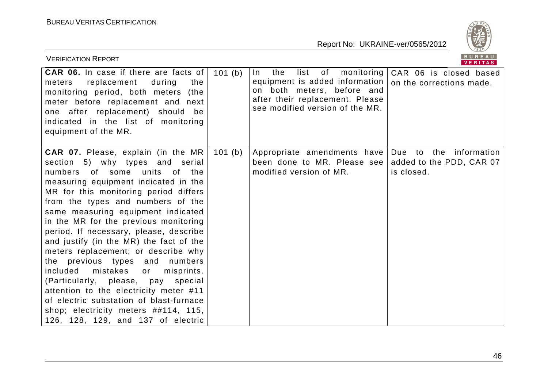

| <b>VERIFICATION REPORT</b>                                                                                                                                                                                                                                                                                                                                                                                                                                                                                                                                                                                                                                                                                                        |        |                                                                                                                                                                                | BUREAU<br><b>VERITAS</b>                                               |
|-----------------------------------------------------------------------------------------------------------------------------------------------------------------------------------------------------------------------------------------------------------------------------------------------------------------------------------------------------------------------------------------------------------------------------------------------------------------------------------------------------------------------------------------------------------------------------------------------------------------------------------------------------------------------------------------------------------------------------------|--------|--------------------------------------------------------------------------------------------------------------------------------------------------------------------------------|------------------------------------------------------------------------|
| <b>CAR 06.</b> In case if there are facts of<br>replacement<br>during<br>the<br>meters<br>monitoring period, both meters<br>(the<br>meter before replacement and next<br>one after replacement) should be<br>indicated in the list of monitoring<br>equipment of the MR.                                                                                                                                                                                                                                                                                                                                                                                                                                                          | 101(b) | the<br>list<br>of<br>monitoring<br>$\ln$<br>equipment is added information<br>on both meters, before and<br>after their replacement. Please<br>see modified version of the MR. | CAR 06 is closed based<br>on the corrections made.                     |
| CAR 07. Please, explain (in the MR)<br>section 5) why types and serial<br>numbers of some units of the<br>measuring equipment indicated in the<br>MR for this monitoring period differs<br>from the types and numbers of the<br>same measuring equipment indicated<br>in the MR for the previous monitoring<br>period. If necessary, please, describe<br>and justify (in the MR) the fact of the<br>meters replacement; or describe why<br>the previous types and<br>numbers<br>mistakes<br>included<br>misprints.<br>or<br>(Particularly, please, pay special<br>attention to the electricity meter #11<br>of electric substation of blast-furnace<br>shop; electricity meters ##114, 115,<br>126, 128, 129, and 137 of electric | 101(b) | Appropriate amendments have<br>been done to MR. Please see<br>modified version of MR.                                                                                          | Due to<br>the<br>information<br>added to the PDD, CAR 07<br>is closed. |